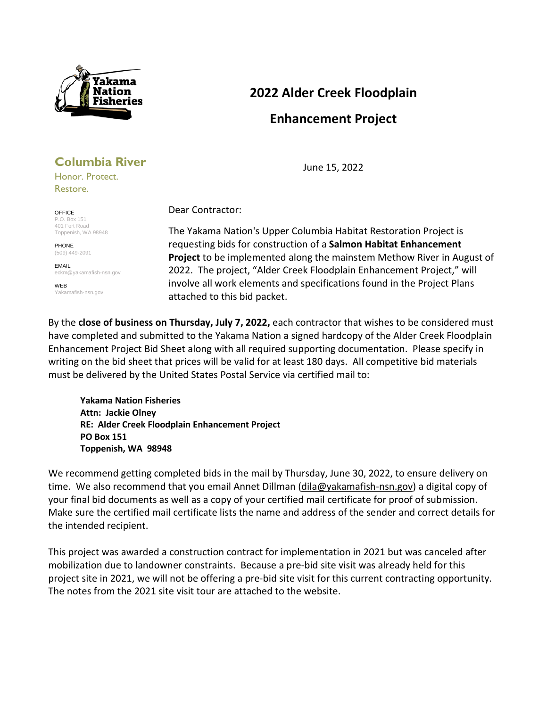

# **2022 Alder Creek Floodplain Enhancement Project**

June 15, 2022

# **Columbia River**

Honor. Protect. Restore.

OFFICE P.O. Box 151 401 Fort Road Toppenish, WA 98948

PHONE (509) 449-2091

EMAIL eckm@yakamafish-nsn.gov

WEB Yakamafish-nsn.gov Dear Contractor:

The Yakama Nation's Upper Columbia Habitat Restoration Project is requesting bids for construction of a **Salmon Habitat Enhancement Project** to be implemented along the mainstem Methow River in August of 2022. The project, "Alder Creek Floodplain Enhancement Project," will involve all work elements and specifications found in the Project Plans attached to this bid packet.

By the **close of business on Thursday, July 7, 2022,** each contractor that wishes to be considered must have completed and submitted to the Yakama Nation a signed hardcopy of the Alder Creek Floodplain Enhancement Project Bid Sheet along with all required supporting documentation. Please specify in writing on the bid sheet that prices will be valid for at least 180 days. All competitive bid materials must be delivered by the United States Postal Service via certified mail to:

**Yakama Nation Fisheries Attn: Jackie Olney RE: Alder Creek Floodplain Enhancement Project PO Box 151 Toppenish, WA 98948**

We recommend getting completed bids in the mail by Thursday, June 30, 2022, to ensure delivery on time. We also recommend that you email Annet Dillman [\(dila@yakamafish-nsn.gov\)](mailto:dila@yakamafish-nsn.gov) a digital copy of your final bid documents as well as a copy of your certified mail certificate for proof of submission. Make sure the certified mail certificate lists the name and address of the sender and correct details for the intended recipient.

This project was awarded a construction contract for implementation in 2021 but was canceled after mobilization due to landowner constraints. Because a pre-bid site visit was already held for this project site in 2021, we will not be offering a pre-bid site visit for this current contracting opportunity. The notes from the 2021 site visit tour are attached to the website.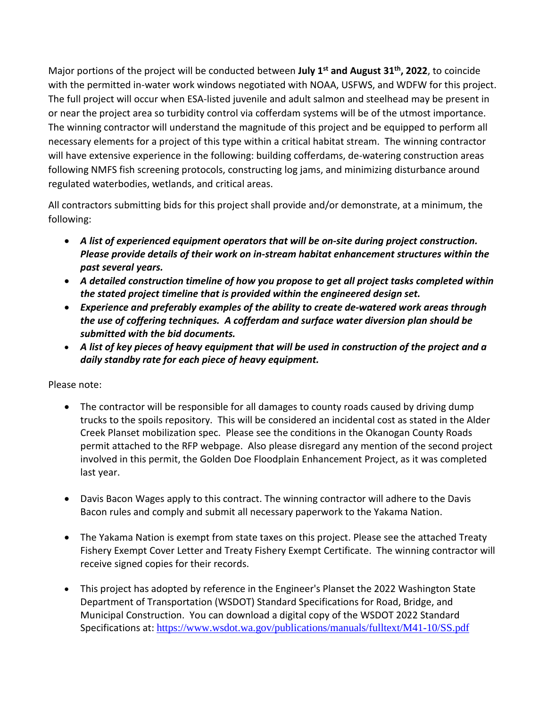Major portions of the project will be conducted between **July 1st and August 31th, 2022**, to coincide with the permitted in-water work windows negotiated with NOAA, USFWS, and WDFW for this project. The full project will occur when ESA-listed juvenile and adult salmon and steelhead may be present in or near the project area so turbidity control via cofferdam systems will be of the utmost importance. The winning contractor will understand the magnitude of this project and be equipped to perform all necessary elements for a project of this type within a critical habitat stream. The winning contractor will have extensive experience in the following: building cofferdams, de-watering construction areas following NMFS fish screening protocols, constructing log jams, and minimizing disturbance around regulated waterbodies, wetlands, and critical areas.

All contractors submitting bids for this project shall provide and/or demonstrate, at a minimum, the following:

- *A list of experienced equipment operators that will be on-site during project construction. Please provide details of their work on in-stream habitat enhancement structures within the past several years.*
- *A detailed construction timeline of how you propose to get all project tasks completed within the stated project timeline that is provided within the engineered design set.*
- *Experience and preferably examples of the ability to create de-watered work areas through the use of coffering techniques. A cofferdam and surface water diversion plan should be submitted with the bid documents.*
- *A list of key pieces of heavy equipment that will be used in construction of the project and a daily standby rate for each piece of heavy equipment.*

### Please note:

- The contractor will be responsible for all damages to county roads caused by driving dump trucks to the spoils repository. This will be considered an incidental cost as stated in the Alder Creek Planset mobilization spec. Please see the conditions in the Okanogan County Roads permit attached to the RFP webpage. Also please disregard any mention of the second project involved in this permit, the Golden Doe Floodplain Enhancement Project, as it was completed last year.
- Davis Bacon Wages apply to this contract. The winning contractor will adhere to the Davis Bacon rules and comply and submit all necessary paperwork to the Yakama Nation.
- The Yakama Nation is exempt from state taxes on this project. Please see the attached Treaty Fishery Exempt Cover Letter and Treaty Fishery Exempt Certificate. The winning contractor will receive signed copies for their records.
- This project has adopted by reference in the Engineer's Planset the 2022 Washington State Department of Transportation (WSDOT) Standard Specifications for Road, Bridge, and Municipal Construction. You can download a digital copy of the WSDOT 2022 Standard Specifications at: <https://www.wsdot.wa.gov/publications/manuals/fulltext/M41-10/SS.pdf>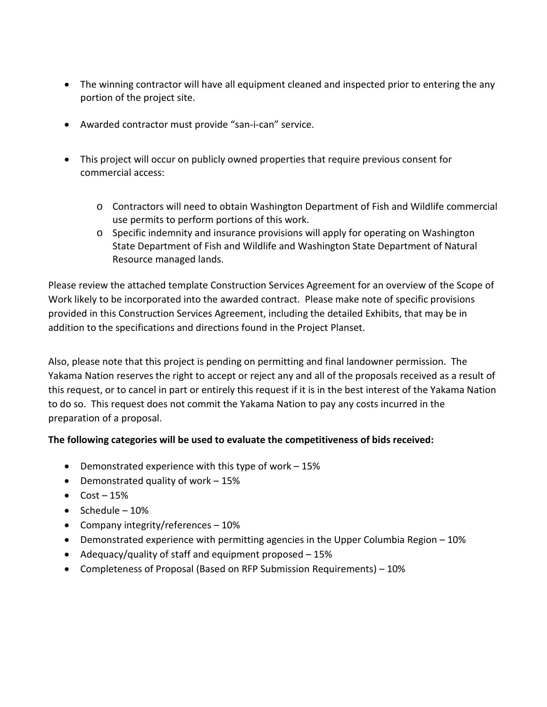- The winning contractor will have all equipment cleaned and inspected prior to entering the any portion of the project site.
- Awarded contractor must provide "san-i-can" service.
- This project will occur on publicly owned properties that require previous consent for commercial access:
	- o Contractors will need to obtain Washington Department of Fish and Wildlife commercial use permits to perform portions of this work.
	- o Specific indemnity and insurance provisions will apply for operating on Washington State Department of Fish and Wildlife and Washington State Department of Natural Resource managed lands.

Please review the attached template Construction Services Agreement for an overview of the Scope of Work likely to be incorporated into the awarded contract. Please make note of specific provisions provided in this Construction Services Agreement, including the detailed Exhibits, that may be in addition to the specifications and directions found in the Project Planset.

Also, please note that this project is pending on permitting and final landowner permission. The Yakama Nation reserves the right to accept or reject any and all of the proposals received as a result of this request, or to cancel in part or entirely this request if it is in the best interest of the Yakama Nation to do so. This request does not commit the Yakama Nation to pay any costs incurred in the preparation of a proposal.

### **The following categories will be used to evaluate the competitiveness of bids received:**

- Demonstrated experience with this type of work 15%
- Demonstrated quality of work 15%
- $\bullet$  Cost 15%
- $\bullet$  Schedule 10%
- Company integrity/references 10%
- Demonstrated experience with permitting agencies in the Upper Columbia Region 10%
- Adequacy/quality of staff and equipment proposed 15%
- Completeness of Proposal (Based on RFP Submission Requirements) 10%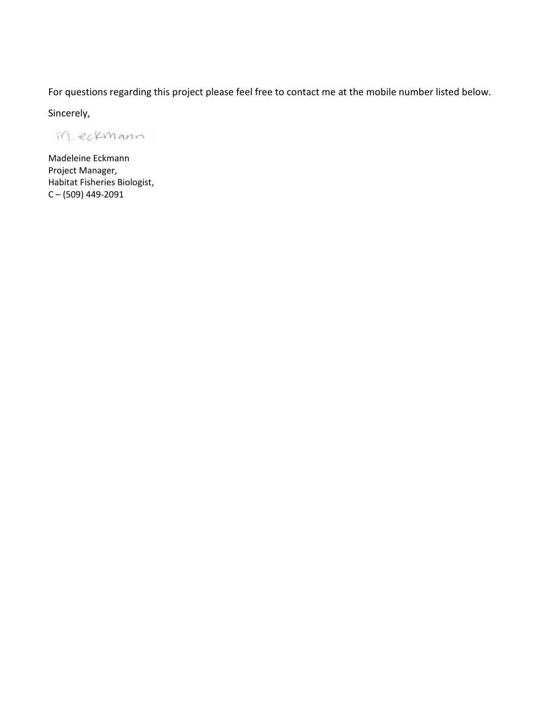For questions regarding this project please feel free to contact me at the mobile number listed below.

Sincerely,

M. eckmann

Madeleine Eckmann Project Manager, Habitat Fisheries Biologist, C – (509) 449-2091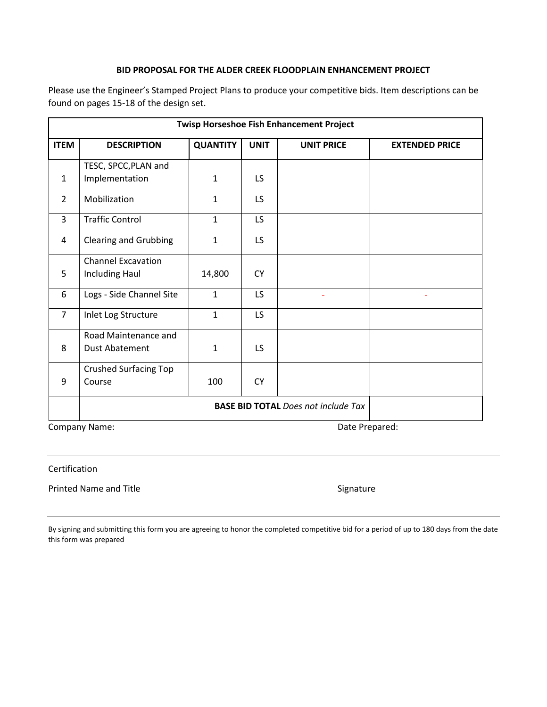#### **BID PROPOSAL FOR THE ALDER CREEK FLOODPLAIN ENHANCEMENT PROJECT**

Please use the Engineer's Stamped Project Plans to produce your competitive bids. Item descriptions can be found on pages 15-18 of the design set.

| <b>Twisp Horseshoe Fish Enhancement Project</b> |                              |                 |             |                                            |                       |
|-------------------------------------------------|------------------------------|-----------------|-------------|--------------------------------------------|-----------------------|
| <b>ITEM</b>                                     | <b>DESCRIPTION</b>           | <b>QUANTITY</b> | <b>UNIT</b> | <b>UNIT PRICE</b>                          | <b>EXTENDED PRICE</b> |
|                                                 | TESC, SPCC, PLAN and         |                 |             |                                            |                       |
| $\mathbf{1}$                                    | Implementation               | $\mathbf{1}$    | LS.         |                                            |                       |
| $\overline{2}$                                  | Mobilization                 | $\mathbf{1}$    | LS          |                                            |                       |
| 3                                               | <b>Traffic Control</b>       | $\mathbf{1}$    | LS          |                                            |                       |
| 4                                               | <b>Clearing and Grubbing</b> | $\mathbf{1}$    | LS.         |                                            |                       |
|                                                 | <b>Channel Excavation</b>    |                 |             |                                            |                       |
| 5                                               | Including Haul               | 14,800          | <b>CY</b>   |                                            |                       |
| 6                                               | Logs - Side Channel Site     | $\mathbf{1}$    | LS          | ٠                                          | ٠                     |
| $\overline{7}$                                  | Inlet Log Structure          | $\mathbf{1}$    | LS          |                                            |                       |
|                                                 | Road Maintenance and         |                 |             |                                            |                       |
| 8                                               | <b>Dust Abatement</b>        | $\mathbf{1}$    | LS          |                                            |                       |
|                                                 | <b>Crushed Surfacing Top</b> |                 |             |                                            |                       |
| 9                                               | Course                       | 100             | <b>CY</b>   |                                            |                       |
|                                                 |                              |                 |             | <b>BASE BID TOTAL Does not include Tax</b> |                       |

Company Name: Company Name: Company Name: Company Name: Date Prepared: Date Prepared:

Certification

Printed Name and Title **Signature** Signature

By signing and submitting this form you are agreeing to honor the completed competitive bid for a period of up to 180 days from the date this form was prepared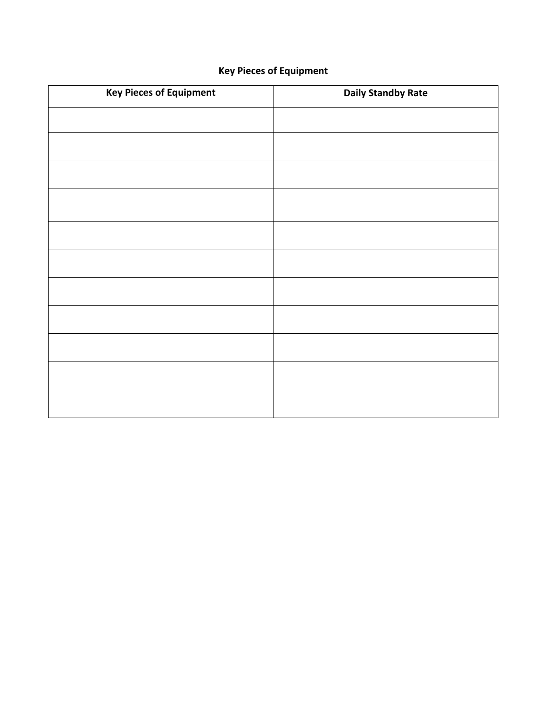# **Key Pieces of Equipment**

| <b>Key Pieces of Equipment</b> | <b>Daily Standby Rate</b> |
|--------------------------------|---------------------------|
|                                |                           |
|                                |                           |
|                                |                           |
|                                |                           |
|                                |                           |
|                                |                           |
|                                |                           |
|                                |                           |
|                                |                           |
|                                |                           |
|                                |                           |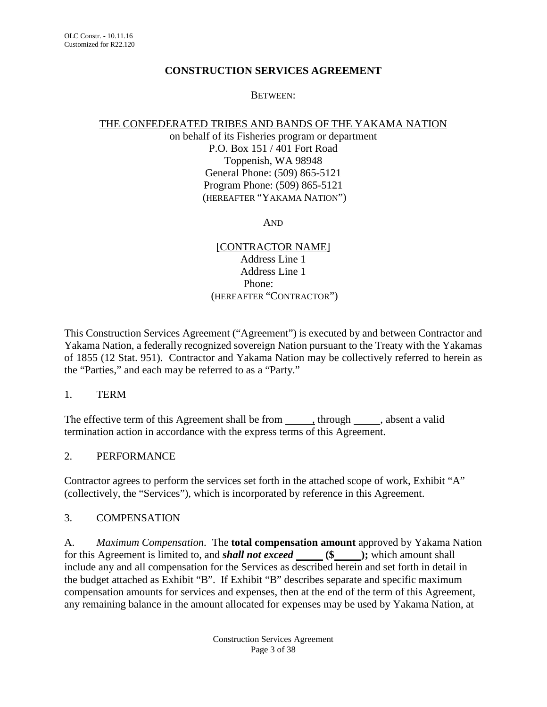#### **CONSTRUCTION SERVICES AGREEMENT**

#### BETWEEN:

#### THE CONFEDERATED TRIBES AND BANDS OF THE YAKAMA NATION

on behalf of its Fisheries program or department P.O. Box 151 / 401 Fort Road Toppenish, WA 98948 General Phone: (509) 865-5121 Program Phone: (509) 865-5121 (HEREAFTER "YAKAMA NATION")

AND

[CONTRACTOR NAME] Address Line 1 Address Line 1 Phone: (HEREAFTER "CONTRACTOR")

This Construction Services Agreement ("Agreement") is executed by and between Contractor and Yakama Nation, a federally recognized sovereign Nation pursuant to the Treaty with the Yakamas of 1855 (12 Stat. 951). Contractor and Yakama Nation may be collectively referred to herein as the "Parties," and each may be referred to as a "Party."

1. TERM

The effective term of this Agreement shall be from \_\_\_\_\_\_, through \_\_\_\_\_, absent a valid termination action in accordance with the express terms of this Agreement.

### 2. PERFORMANCE

Contractor agrees to perform the services set forth in the attached scope of work, Exhibit "A" (collectively, the "Services"), which is incorporated by reference in this Agreement.

#### 3. COMPENSATION

A. *Maximum Compensation.* The **total compensation amount** approved by Yakama Nation for this Agreement is limited to, and *shall not exceed* **(\$ );** which amount shall include any and all compensation for the Services as described herein and set forth in detail in the budget attached as Exhibit "B". If Exhibit "B" describes separate and specific maximum compensation amounts for services and expenses, then at the end of the term of this Agreement, any remaining balance in the amount allocated for expenses may be used by Yakama Nation, at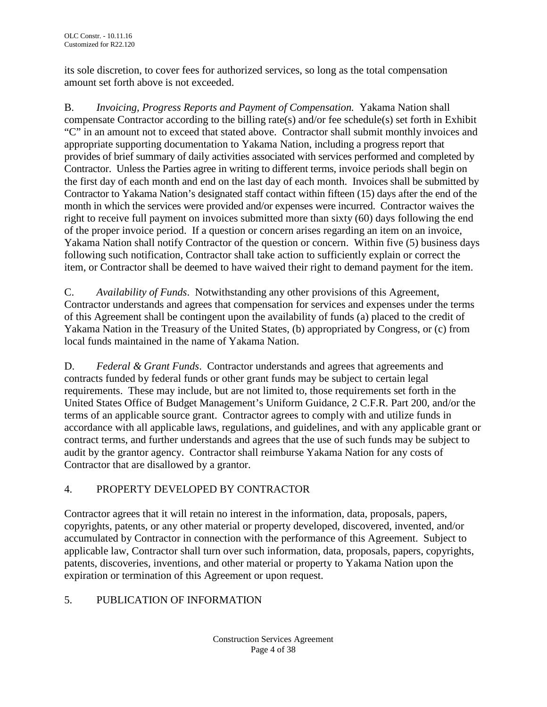its sole discretion, to cover fees for authorized services, so long as the total compensation amount set forth above is not exceeded.

B. *Invoicing, Progress Reports and Payment of Compensation.* Yakama Nation shall compensate Contractor according to the billing rate(s) and/or fee schedule(s) set forth in Exhibit "C" in an amount not to exceed that stated above. Contractor shall submit monthly invoices and appropriate supporting documentation to Yakama Nation, including a progress report that provides of brief summary of daily activities associated with services performed and completed by Contractor. Unless the Parties agree in writing to different terms, invoice periods shall begin on the first day of each month and end on the last day of each month. Invoices shall be submitted by Contractor to Yakama Nation's designated staff contact within fifteen (15) days after the end of the month in which the services were provided and/or expenses were incurred. Contractor waives the right to receive full payment on invoices submitted more than sixty (60) days following the end of the proper invoice period. If a question or concern arises regarding an item on an invoice, Yakama Nation shall notify Contractor of the question or concern. Within five (5) business days following such notification, Contractor shall take action to sufficiently explain or correct the item, or Contractor shall be deemed to have waived their right to demand payment for the item.

C. *Availability of Funds*. Notwithstanding any other provisions of this Agreement, Contractor understands and agrees that compensation for services and expenses under the terms of this Agreement shall be contingent upon the availability of funds (a) placed to the credit of Yakama Nation in the Treasury of the United States, (b) appropriated by Congress, or (c) from local funds maintained in the name of Yakama Nation.

D. *Federal & Grant Funds*. Contractor understands and agrees that agreements and contracts funded by federal funds or other grant funds may be subject to certain legal requirements. These may include, but are not limited to, those requirements set forth in the United States Office of Budget Management's Uniform Guidance, 2 C.F.R. Part 200, and/or the terms of an applicable source grant. Contractor agrees to comply with and utilize funds in accordance with all applicable laws, regulations, and guidelines, and with any applicable grant or contract terms, and further understands and agrees that the use of such funds may be subject to audit by the grantor agency. Contractor shall reimburse Yakama Nation for any costs of Contractor that are disallowed by a grantor.

# 4. PROPERTY DEVELOPED BY CONTRACTOR

Contractor agrees that it will retain no interest in the information, data, proposals, papers, copyrights, patents, or any other material or property developed, discovered, invented, and/or accumulated by Contractor in connection with the performance of this Agreement. Subject to applicable law, Contractor shall turn over such information, data, proposals, papers, copyrights, patents, discoveries, inventions, and other material or property to Yakama Nation upon the expiration or termination of this Agreement or upon request.

# 5. PUBLICATION OF INFORMATION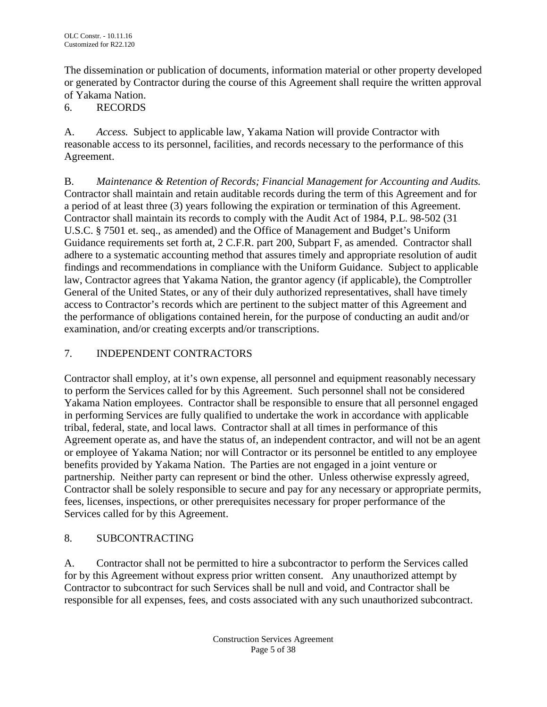The dissemination or publication of documents, information material or other property developed or generated by Contractor during the course of this Agreement shall require the written approval of Yakama Nation.

# 6. RECORDS

A. *Access.* Subject to applicable law, Yakama Nation will provide Contractor with reasonable access to its personnel, facilities, and records necessary to the performance of this Agreement.

B. *Maintenance & Retention of Records; Financial Management for Accounting and Audits.* Contractor shall maintain and retain auditable records during the term of this Agreement and for a period of at least three (3) years following the expiration or termination of this Agreement. Contractor shall maintain its records to comply with the Audit Act of 1984, P.L. 98-502 (31 U.S.C. § 7501 et. seq., as amended) and the Office of Management and Budget's Uniform Guidance requirements set forth at, 2 C.F.R. part 200, Subpart F, as amended.Contractor shall adhere to a systematic accounting method that assures timely and appropriate resolution of audit findings and recommendations in compliance with the Uniform Guidance. Subject to applicable law, Contractor agrees that Yakama Nation, the grantor agency (if applicable), the Comptroller General of the United States, or any of their duly authorized representatives, shall have timely access to Contractor's records which are pertinent to the subject matter of this Agreement and the performance of obligations contained herein, for the purpose of conducting an audit and/or examination, and/or creating excerpts and/or transcriptions.

# 7. INDEPENDENT CONTRACTORS

Contractor shall employ, at it's own expense, all personnel and equipment reasonably necessary to perform the Services called for by this Agreement. Such personnel shall not be considered Yakama Nation employees. Contractor shall be responsible to ensure that all personnel engaged in performing Services are fully qualified to undertake the work in accordance with applicable tribal, federal, state, and local laws. Contractor shall at all times in performance of this Agreement operate as, and have the status of, an independent contractor, and will not be an agent or employee of Yakama Nation; nor will Contractor or its personnel be entitled to any employee benefits provided by Yakama Nation. The Parties are not engaged in a joint venture or partnership. Neither party can represent or bind the other. Unless otherwise expressly agreed, Contractor shall be solely responsible to secure and pay for any necessary or appropriate permits, fees, licenses, inspections, or other prerequisites necessary for proper performance of the Services called for by this Agreement.

# 8. SUBCONTRACTING

A. Contractor shall not be permitted to hire a subcontractor to perform the Services called for by this Agreement without express prior written consent. Any unauthorized attempt by Contractor to subcontract for such Services shall be null and void, and Contractor shall be responsible for all expenses, fees, and costs associated with any such unauthorized subcontract.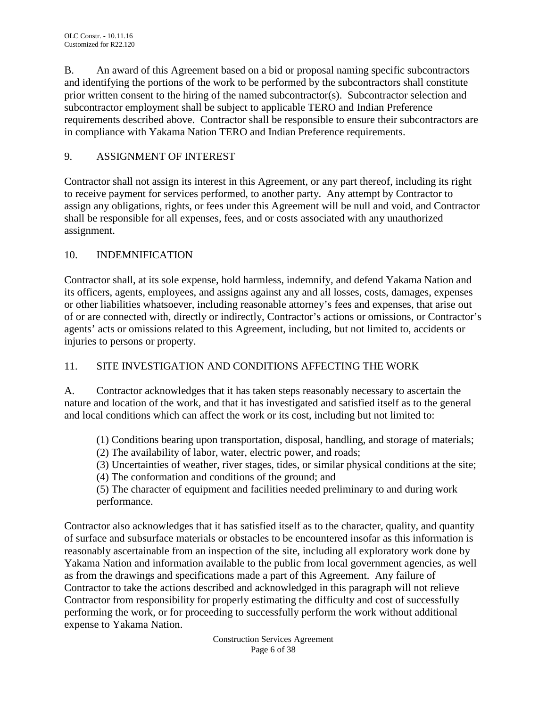B. An award of this Agreement based on a bid or proposal naming specific subcontractors and identifying the portions of the work to be performed by the subcontractors shall constitute prior written consent to the hiring of the named subcontractor(s). Subcontractor selection and subcontractor employment shall be subject to applicable TERO and Indian Preference requirements described above. Contractor shall be responsible to ensure their subcontractors are in compliance with Yakama Nation TERO and Indian Preference requirements.

# 9. ASSIGNMENT OF INTEREST

Contractor shall not assign its interest in this Agreement, or any part thereof, including its right to receive payment for services performed, to another party. Any attempt by Contractor to assign any obligations, rights, or fees under this Agreement will be null and void, and Contractor shall be responsible for all expenses, fees, and or costs associated with any unauthorized assignment.

# 10. INDEMNIFICATION

Contractor shall, at its sole expense, hold harmless, indemnify, and defend Yakama Nation and its officers, agents, employees, and assigns against any and all losses, costs, damages, expenses or other liabilities whatsoever, including reasonable attorney's fees and expenses, that arise out of or are connected with, directly or indirectly, Contractor's actions or omissions, or Contractor's agents' acts or omissions related to this Agreement, including, but not limited to, accidents or injuries to persons or property.

# 11. SITE INVESTIGATION AND CONDITIONS AFFECTING THE WORK

A. Contractor acknowledges that it has taken steps reasonably necessary to ascertain the nature and location of the work, and that it has investigated and satisfied itself as to the general and local conditions which can affect the work or its cost, including but not limited to:

(1) Conditions bearing upon transportation, disposal, handling, and storage of materials;

(2) The availability of labor, water, electric power, and roads;

(3) Uncertainties of weather, river stages, tides, or similar physical conditions at the site;

(4) The conformation and conditions of the ground; and

(5) The character of equipment and facilities needed preliminary to and during work performance.

Contractor also acknowledges that it has satisfied itself as to the character, quality, and quantity of surface and subsurface materials or obstacles to be encountered insofar as this information is reasonably ascertainable from an inspection of the site, including all exploratory work done by Yakama Nation and information available to the public from local government agencies, as well as from the drawings and specifications made a part of this Agreement. Any failure of Contractor to take the actions described and acknowledged in this paragraph will not relieve Contractor from responsibility for properly estimating the difficulty and cost of successfully performing the work, or for proceeding to successfully perform the work without additional expense to Yakama Nation.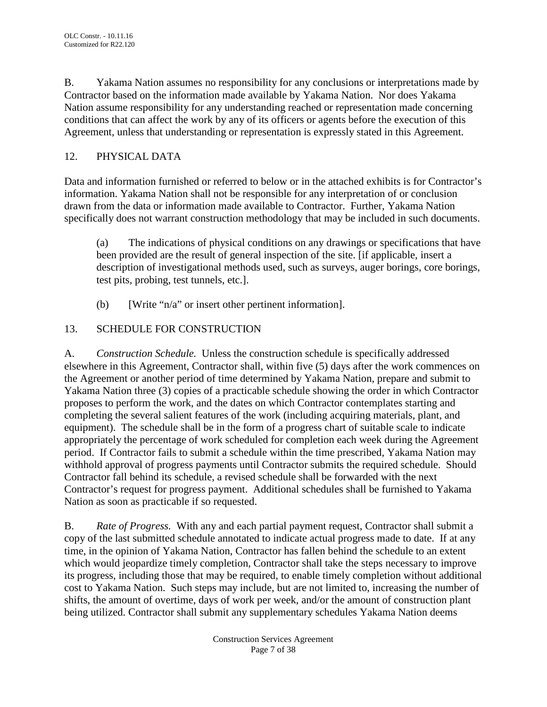B. Yakama Nation assumes no responsibility for any conclusions or interpretations made by Contractor based on the information made available by Yakama Nation. Nor does Yakama Nation assume responsibility for any understanding reached or representation made concerning conditions that can affect the work by any of its officers or agents before the execution of this Agreement, unless that understanding or representation is expressly stated in this Agreement.

# 12. PHYSICAL DATA

Data and information furnished or referred to below or in the attached exhibits is for Contractor's information. Yakama Nation shall not be responsible for any interpretation of or conclusion drawn from the data or information made available to Contractor. Further, Yakama Nation specifically does not warrant construction methodology that may be included in such documents.

(a) The indications of physical conditions on any drawings or specifications that have been provided are the result of general inspection of the site. [if applicable, insert a description of investigational methods used, such as surveys, auger borings, core borings, test pits, probing, test tunnels, etc.].

(b) [Write "n/a" or insert other pertinent information].

# 13. SCHEDULE FOR CONSTRUCTION

A. *Construction Schedule.* Unless the construction schedule is specifically addressed elsewhere in this Agreement, Contractor shall, within five (5) days after the work commences on the Agreement or another period of time determined by Yakama Nation, prepare and submit to Yakama Nation three (3) copies of a practicable schedule showing the order in which Contractor proposes to perform the work, and the dates on which Contractor contemplates starting and completing the several salient features of the work (including acquiring materials, plant, and equipment). The schedule shall be in the form of a progress chart of suitable scale to indicate appropriately the percentage of work scheduled for completion each week during the Agreement period. If Contractor fails to submit a schedule within the time prescribed, Yakama Nation may withhold approval of progress payments until Contractor submits the required schedule. Should Contractor fall behind its schedule, a revised schedule shall be forwarded with the next Contractor's request for progress payment. Additional schedules shall be furnished to Yakama Nation as soon as practicable if so requested.

B. *Rate of Progress.* With any and each partial payment request, Contractor shall submit a copy of the last submitted schedule annotated to indicate actual progress made to date. If at any time, in the opinion of Yakama Nation, Contractor has fallen behind the schedule to an extent which would jeopardize timely completion, Contractor shall take the steps necessary to improve its progress, including those that may be required, to enable timely completion without additional cost to Yakama Nation. Such steps may include, but are not limited to, increasing the number of shifts, the amount of overtime, days of work per week, and/or the amount of construction plant being utilized. Contractor shall submit any supplementary schedules Yakama Nation deems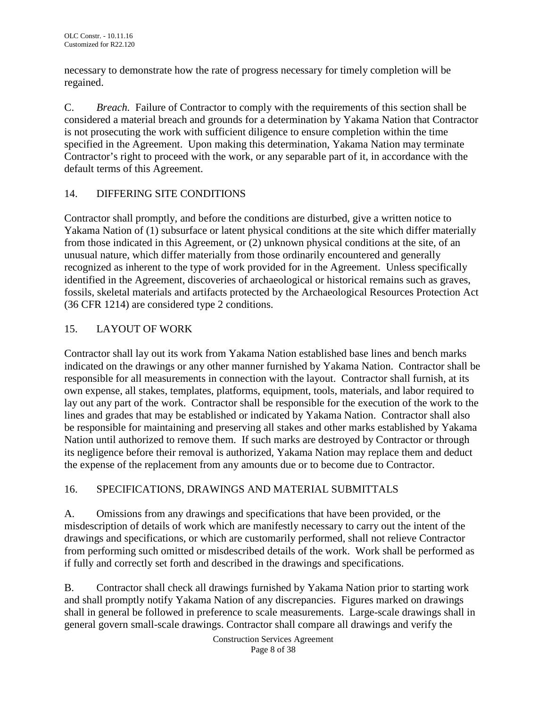necessary to demonstrate how the rate of progress necessary for timely completion will be regained.

C. *Breach.* Failure of Contractor to comply with the requirements of this section shall be considered a material breach and grounds for a determination by Yakama Nation that Contractor is not prosecuting the work with sufficient diligence to ensure completion within the time specified in the Agreement. Upon making this determination, Yakama Nation may terminate Contractor's right to proceed with the work, or any separable part of it, in accordance with the default terms of this Agreement.

# 14. DIFFERING SITE CONDITIONS

Contractor shall promptly, and before the conditions are disturbed, give a written notice to Yakama Nation of (1) subsurface or latent physical conditions at the site which differ materially from those indicated in this Agreement, or (2) unknown physical conditions at the site, of an unusual nature, which differ materially from those ordinarily encountered and generally recognized as inherent to the type of work provided for in the Agreement. Unless specifically identified in the Agreement, discoveries of archaeological or historical remains such as graves, fossils, skeletal materials and artifacts protected by the Archaeological Resources Protection Act (36 CFR 1214) are considered type 2 conditions.

# 15. LAYOUT OF WORK

Contractor shall lay out its work from Yakama Nation established base lines and bench marks indicated on the drawings or any other manner furnished by Yakama Nation. Contractor shall be responsible for all measurements in connection with the layout. Contractor shall furnish, at its own expense, all stakes, templates, platforms, equipment, tools, materials, and labor required to lay out any part of the work. Contractor shall be responsible for the execution of the work to the lines and grades that may be established or indicated by Yakama Nation. Contractor shall also be responsible for maintaining and preserving all stakes and other marks established by Yakama Nation until authorized to remove them. If such marks are destroyed by Contractor or through its negligence before their removal is authorized, Yakama Nation may replace them and deduct the expense of the replacement from any amounts due or to become due to Contractor.

# 16. SPECIFICATIONS, DRAWINGS AND MATERIAL SUBMITTALS

A. Omissions from any drawings and specifications that have been provided, or the misdescription of details of work which are manifestly necessary to carry out the intent of the drawings and specifications, or which are customarily performed, shall not relieve Contractor from performing such omitted or misdescribed details of the work. Work shall be performed as if fully and correctly set forth and described in the drawings and specifications.

B. Contractor shall check all drawings furnished by Yakama Nation prior to starting work and shall promptly notify Yakama Nation of any discrepancies. Figures marked on drawings shall in general be followed in preference to scale measurements. Large-scale drawings shall in general govern small-scale drawings. Contractor shall compare all drawings and verify the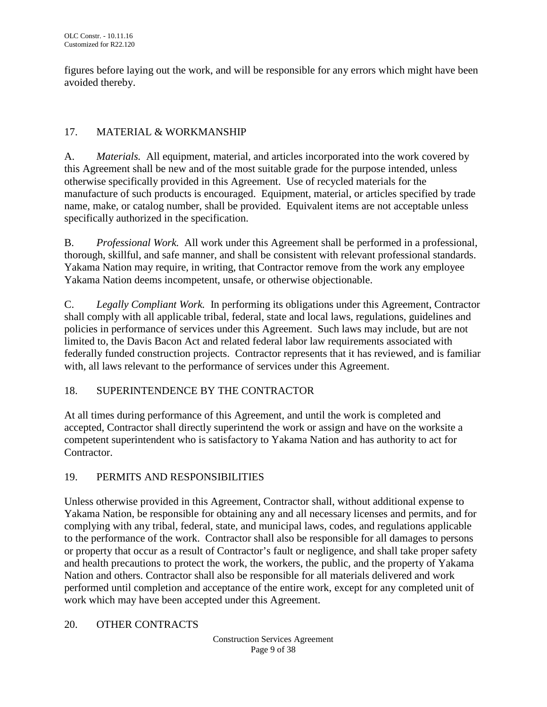figures before laying out the work, and will be responsible for any errors which might have been avoided thereby.

# 17. MATERIAL & WORKMANSHIP

A. *Materials.* All equipment, material, and articles incorporated into the work covered by this Agreement shall be new and of the most suitable grade for the purpose intended, unless otherwise specifically provided in this Agreement. Use of recycled materials for the manufacture of such products is encouraged. Equipment, material, or articles specified by trade name, make, or catalog number, shall be provided. Equivalent items are not acceptable unless specifically authorized in the specification.

B. *Professional Work.* All work under this Agreement shall be performed in a professional, thorough, skillful, and safe manner, and shall be consistent with relevant professional standards. Yakama Nation may require, in writing, that Contractor remove from the work any employee Yakama Nation deems incompetent, unsafe, or otherwise objectionable.

C. *Legally Compliant Work.* In performing its obligations under this Agreement, Contractor shall comply with all applicable tribal, federal, state and local laws, regulations, guidelines and policies in performance of services under this Agreement. Such laws may include, but are not limited to, the Davis Bacon Act and related federal labor law requirements associated with federally funded construction projects. Contractor represents that it has reviewed, and is familiar with, all laws relevant to the performance of services under this Agreement.

# 18. SUPERINTENDENCE BY THE CONTRACTOR

At all times during performance of this Agreement, and until the work is completed and accepted, Contractor shall directly superintend the work or assign and have on the worksite a competent superintendent who is satisfactory to Yakama Nation and has authority to act for Contractor.

# 19. PERMITS AND RESPONSIBILITIES

Unless otherwise provided in this Agreement, Contractor shall, without additional expense to Yakama Nation, be responsible for obtaining any and all necessary licenses and permits, and for complying with any tribal, federal, state, and municipal laws, codes, and regulations applicable to the performance of the work. Contractor shall also be responsible for all damages to persons or property that occur as a result of Contractor's fault or negligence, and shall take proper safety and health precautions to protect the work, the workers, the public, and the property of Yakama Nation and others. Contractor shall also be responsible for all materials delivered and work performed until completion and acceptance of the entire work, except for any completed unit of work which may have been accepted under this Agreement.

### 20. OTHER CONTRACTS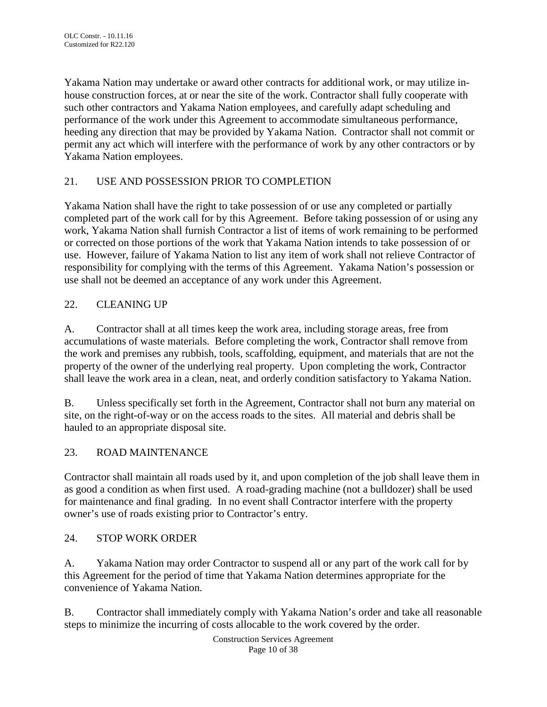Yakama Nation may undertake or award other contracts for additional work, or may utilize inhouse construction forces, at or near the site of the work. Contractor shall fully cooperate with such other contractors and Yakama Nation employees, and carefully adapt scheduling and performance of the work under this Agreement to accommodate simultaneous performance, heeding any direction that may be provided by Yakama Nation. Contractor shall not commit or permit any act which will interfere with the performance of work by any other contractors or by Yakama Nation employees.

# 21. USE AND POSSESSION PRIOR TO COMPLETION

Yakama Nation shall have the right to take possession of or use any completed or partially completed part of the work call for by this Agreement. Before taking possession of or using any work, Yakama Nation shall furnish Contractor a list of items of work remaining to be performed or corrected on those portions of the work that Yakama Nation intends to take possession of or use. However, failure of Yakama Nation to list any item of work shall not relieve Contractor of responsibility for complying with the terms of this Agreement. Yakama Nation's possession or use shall not be deemed an acceptance of any work under this Agreement.

# 22. CLEANING UP

A. Contractor shall at all times keep the work area, including storage areas, free from accumulations of waste materials. Before completing the work, Contractor shall remove from the work and premises any rubbish, tools, scaffolding, equipment, and materials that are not the property of the owner of the underlying real property. Upon completing the work, Contractor shall leave the work area in a clean, neat, and orderly condition satisfactory to Yakama Nation.

B. Unless specifically set forth in the Agreement, Contractor shall not burn any material on site, on the right-of-way or on the access roads to the sites. All material and debris shall be hauled to an appropriate disposal site.

### 23. ROAD MAINTENANCE

Contractor shall maintain all roads used by it, and upon completion of the job shall leave them in as good a condition as when first used. A road-grading machine (not a bulldozer) shall be used for maintenance and final grading. In no event shall Contractor interfere with the property owner's use of roads existing prior to Contractor's entry.

### 24. STOP WORK ORDER

A. Yakama Nation may order Contractor to suspend all or any part of the work call for by this Agreement for the period of time that Yakama Nation determines appropriate for the convenience of Yakama Nation.

B. Contractor shall immediately comply with Yakama Nation's order and take all reasonable steps to minimize the incurring of costs allocable to the work covered by the order.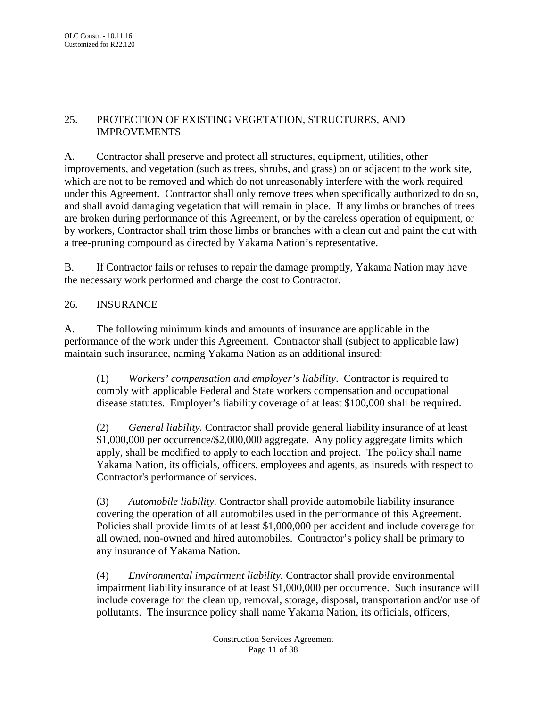# 25. PROTECTION OF EXISTING VEGETATION, STRUCTURES, AND IMPROVEMENTS

A. Contractor shall preserve and protect all structures, equipment, utilities, other improvements, and vegetation (such as trees, shrubs, and grass) on or adjacent to the work site, which are not to be removed and which do not unreasonably interfere with the work required under this Agreement. Contractor shall only remove trees when specifically authorized to do so, and shall avoid damaging vegetation that will remain in place. If any limbs or branches of trees are broken during performance of this Agreement, or by the careless operation of equipment, or by workers, Contractor shall trim those limbs or branches with a clean cut and paint the cut with a tree-pruning compound as directed by Yakama Nation's representative.

B. If Contractor fails or refuses to repair the damage promptly, Yakama Nation may have the necessary work performed and charge the cost to Contractor.

# 26. INSURANCE

A. The following minimum kinds and amounts of insurance are applicable in the performance of the work under this Agreement. Contractor shall (subject to applicable law) maintain such insurance, naming Yakama Nation as an additional insured:

(1) *Workers' compensation and employer's liability*. Contractor is required to comply with applicable Federal and State workers compensation and occupational disease statutes. Employer's liability coverage of at least \$100,000 shall be required.

(2) *General liability.* Contractor shall provide general liability insurance of at least \$1,000,000 per occurrence/\$2,000,000 aggregate. Any policy aggregate limits which apply, shall be modified to apply to each location and project. The policy shall name Yakama Nation, its officials, officers, employees and agents, as insureds with respect to Contractor's performance of services.

(3) *Automobile liability.* Contractor shall provide automobile liability insurance covering the operation of all automobiles used in the performance of this Agreement. Policies shall provide limits of at least \$1,000,000 per accident and include coverage for all owned, non-owned and hired automobiles. Contractor's policy shall be primary to any insurance of Yakama Nation.

(4) *Environmental impairment liability.* Contractor shall provide environmental impairment liability insurance of at least \$1,000,000 per occurrence. Such insurance will include coverage for the clean up, removal, storage, disposal, transportation and/or use of pollutants. The insurance policy shall name Yakama Nation, its officials, officers,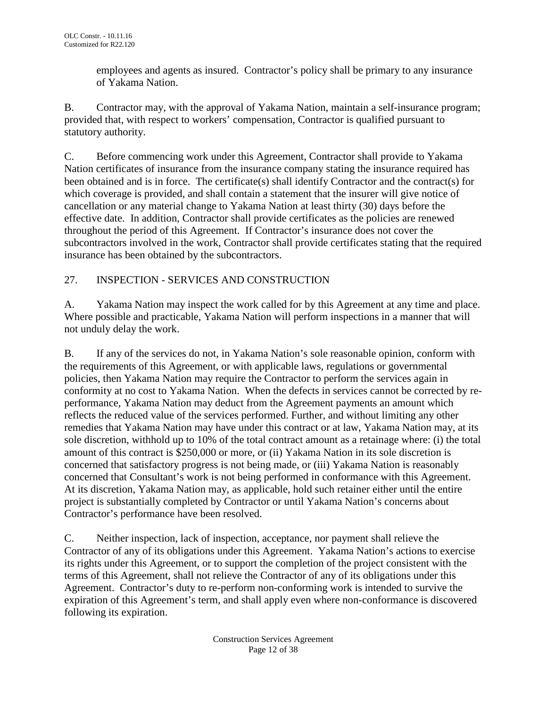employees and agents as insured. Contractor's policy shall be primary to any insurance of Yakama Nation.

B. Contractor may, with the approval of Yakama Nation, maintain a self-insurance program; provided that, with respect to workers' compensation, Contractor is qualified pursuant to statutory authority.

C. Before commencing work under this Agreement, Contractor shall provide to Yakama Nation certificates of insurance from the insurance company stating the insurance required has been obtained and is in force. The certificate(s) shall identify Contractor and the contract(s) for which coverage is provided, and shall contain a statement that the insurer will give notice of cancellation or any material change to Yakama Nation at least thirty (30) days before the effective date. In addition, Contractor shall provide certificates as the policies are renewed throughout the period of this Agreement. If Contractor's insurance does not cover the subcontractors involved in the work, Contractor shall provide certificates stating that the required insurance has been obtained by the subcontractors.

# 27. INSPECTION - SERVICES AND CONSTRUCTION

A. Yakama Nation may inspect the work called for by this Agreement at any time and place. Where possible and practicable, Yakama Nation will perform inspections in a manner that will not unduly delay the work.

B. If any of the services do not, in Yakama Nation's sole reasonable opinion, conform with the requirements of this Agreement, or with applicable laws, regulations or governmental policies, then Yakama Nation may require the Contractor to perform the services again in conformity at no cost to Yakama Nation. When the defects in services cannot be corrected by reperformance, Yakama Nation may deduct from the Agreement payments an amount which reflects the reduced value of the services performed. Further, and without limiting any other remedies that Yakama Nation may have under this contract or at law, Yakama Nation may, at its sole discretion, withhold up to 10% of the total contract amount as a retainage where: (i) the total amount of this contract is \$250,000 or more, or (ii) Yakama Nation in its sole discretion is concerned that satisfactory progress is not being made, or (iii) Yakama Nation is reasonably concerned that Consultant's work is not being performed in conformance with this Agreement. At its discretion, Yakama Nation may, as applicable, hold such retainer either until the entire project is substantially completed by Contractor or until Yakama Nation's concerns about Contractor's performance have been resolved.

C. Neither inspection, lack of inspection, acceptance, nor payment shall relieve the Contractor of any of its obligations under this Agreement. Yakama Nation's actions to exercise its rights under this Agreement, or to support the completion of the project consistent with the terms of this Agreement, shall not relieve the Contractor of any of its obligations under this Agreement. Contractor's duty to re-perform non-conforming work is intended to survive the expiration of this Agreement's term, and shall apply even where non-conformance is discovered following its expiration.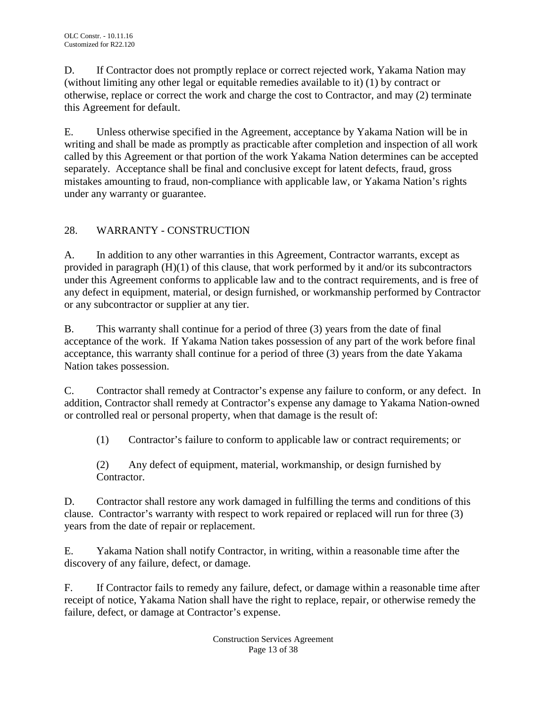D. If Contractor does not promptly replace or correct rejected work, Yakama Nation may (without limiting any other legal or equitable remedies available to it) (1) by contract or otherwise, replace or correct the work and charge the cost to Contractor, and may (2) terminate this Agreement for default.

E. Unless otherwise specified in the Agreement, acceptance by Yakama Nation will be in writing and shall be made as promptly as practicable after completion and inspection of all work called by this Agreement or that portion of the work Yakama Nation determines can be accepted separately. Acceptance shall be final and conclusive except for latent defects, fraud, gross mistakes amounting to fraud, non-compliance with applicable law, or Yakama Nation's rights under any warranty or guarantee.

# 28. WARRANTY - CONSTRUCTION

A. In addition to any other warranties in this Agreement, Contractor warrants, except as provided in paragraph (H)(1) of this clause, that work performed by it and/or its subcontractors under this Agreement conforms to applicable law and to the contract requirements, and is free of any defect in equipment, material, or design furnished, or workmanship performed by Contractor or any subcontractor or supplier at any tier.

B. This warranty shall continue for a period of three (3) years from the date of final acceptance of the work. If Yakama Nation takes possession of any part of the work before final acceptance, this warranty shall continue for a period of three (3) years from the date Yakama Nation takes possession.

C. Contractor shall remedy at Contractor's expense any failure to conform, or any defect. In addition, Contractor shall remedy at Contractor's expense any damage to Yakama Nation-owned or controlled real or personal property, when that damage is the result of:

(1) Contractor's failure to conform to applicable law or contract requirements; or

(2) Any defect of equipment, material, workmanship, or design furnished by Contractor.

D. Contractor shall restore any work damaged in fulfilling the terms and conditions of this clause. Contractor's warranty with respect to work repaired or replaced will run for three (3) years from the date of repair or replacement.

E. Yakama Nation shall notify Contractor, in writing, within a reasonable time after the discovery of any failure, defect, or damage.

F. If Contractor fails to remedy any failure, defect, or damage within a reasonable time after receipt of notice, Yakama Nation shall have the right to replace, repair, or otherwise remedy the failure, defect, or damage at Contractor's expense.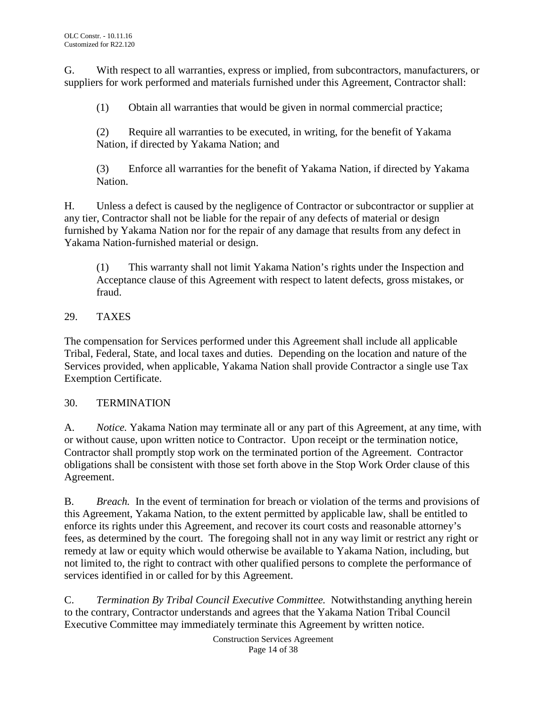G. With respect to all warranties, express or implied, from subcontractors, manufacturers, or suppliers for work performed and materials furnished under this Agreement, Contractor shall:

(1) Obtain all warranties that would be given in normal commercial practice;

(2) Require all warranties to be executed, in writing, for the benefit of Yakama Nation, if directed by Yakama Nation; and

(3) Enforce all warranties for the benefit of Yakama Nation, if directed by Yakama Nation.

H. Unless a defect is caused by the negligence of Contractor or subcontractor or supplier at any tier, Contractor shall not be liable for the repair of any defects of material or design furnished by Yakama Nation nor for the repair of any damage that results from any defect in Yakama Nation-furnished material or design.

(1) This warranty shall not limit Yakama Nation's rights under the Inspection and Acceptance clause of this Agreement with respect to latent defects, gross mistakes, or fraud.

# 29. TAXES

The compensation for Services performed under this Agreement shall include all applicable Tribal, Federal, State, and local taxes and duties. Depending on the location and nature of the Services provided, when applicable, Yakama Nation shall provide Contractor a single use Tax Exemption Certificate.

# 30. TERMINATION

A. *Notice.* Yakama Nation may terminate all or any part of this Agreement, at any time, with or without cause, upon written notice to Contractor. Upon receipt or the termination notice, Contractor shall promptly stop work on the terminated portion of the Agreement. Contractor obligations shall be consistent with those set forth above in the Stop Work Order clause of this Agreement.

B. *Breach.* In the event of termination for breach or violation of the terms and provisions of this Agreement, Yakama Nation, to the extent permitted by applicable law, shall be entitled to enforce its rights under this Agreement, and recover its court costs and reasonable attorney's fees, as determined by the court. The foregoing shall not in any way limit or restrict any right or remedy at law or equity which would otherwise be available to Yakama Nation, including, but not limited to, the right to contract with other qualified persons to complete the performance of services identified in or called for by this Agreement.

C. *Termination By Tribal Council Executive Committee.* Notwithstanding anything herein to the contrary, Contractor understands and agrees that the Yakama Nation Tribal Council Executive Committee may immediately terminate this Agreement by written notice.

> Construction Services Agreement Page 14 of 38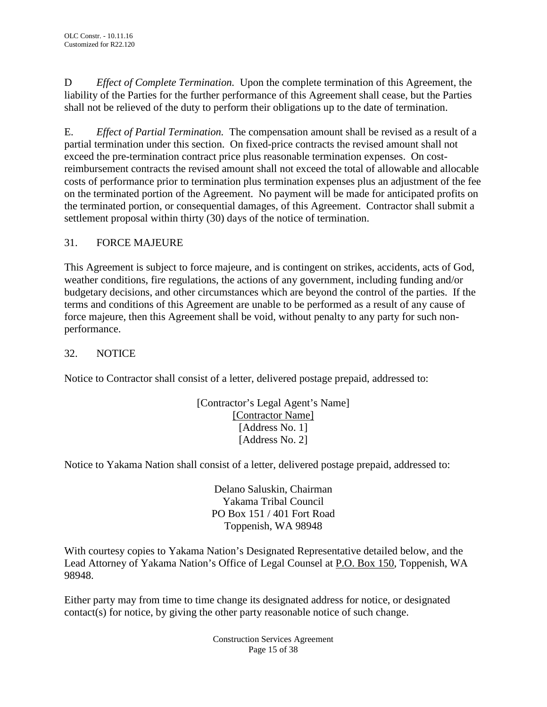D *Effect of Complete Termination.* Upon the complete termination of this Agreement, the liability of the Parties for the further performance of this Agreement shall cease, but the Parties shall not be relieved of the duty to perform their obligations up to the date of termination.

E. *Effect of Partial Termination.* The compensation amount shall be revised as a result of a partial termination under this section. On fixed-price contracts the revised amount shall not exceed the pre-termination contract price plus reasonable termination expenses. On costreimbursement contracts the revised amount shall not exceed the total of allowable and allocable costs of performance prior to termination plus termination expenses plus an adjustment of the fee on the terminated portion of the Agreement. No payment will be made for anticipated profits on the terminated portion, or consequential damages, of this Agreement. Contractor shall submit a settlement proposal within thirty (30) days of the notice of termination.

# 31. FORCE MAJEURE

This Agreement is subject to force majeure, and is contingent on strikes, accidents, acts of God, weather conditions, fire regulations, the actions of any government, including funding and/or budgetary decisions, and other circumstances which are beyond the control of the parties. If the terms and conditions of this Agreement are unable to be performed as a result of any cause of force majeure, then this Agreement shall be void, without penalty to any party for such nonperformance.

### 32. NOTICE

Notice to Contractor shall consist of a letter, delivered postage prepaid, addressed to:

[Contractor's Legal Agent's Name] [Contractor Name] [Address No. 1] [Address No. 2]

Notice to Yakama Nation shall consist of a letter, delivered postage prepaid, addressed to:

Delano Saluskin, Chairman Yakama Tribal Council PO Box 151 / 401 Fort Road Toppenish, WA 98948

With courtesy copies to Yakama Nation's Designated Representative detailed below, and the Lead Attorney of Yakama Nation's Office of Legal Counsel at P.O. Box 150, Toppenish, WA 98948.

Either party may from time to time change its designated address for notice, or designated contact(s) for notice, by giving the other party reasonable notice of such change.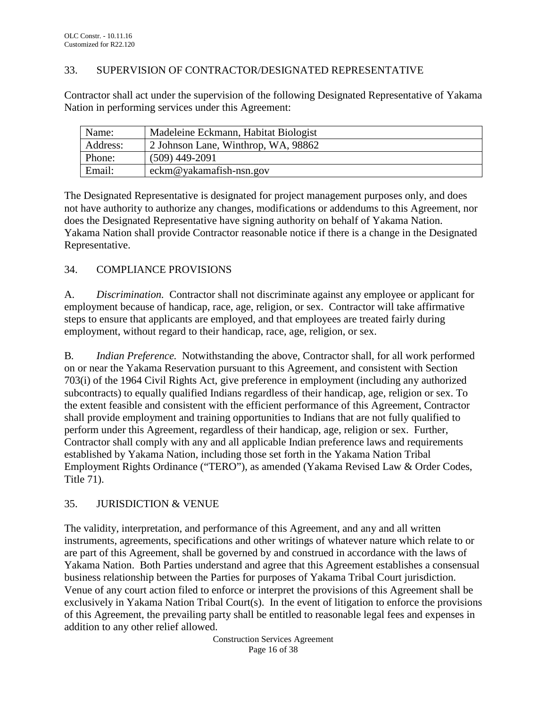#### 33. SUPERVISION OF CONTRACTOR/DESIGNATED REPRESENTATIVE

Contractor shall act under the supervision of the following Designated Representative of Yakama Nation in performing services under this Agreement:

| Name:    | Madeleine Eckmann, Habitat Biologist |
|----------|--------------------------------------|
| Address: | 2 Johnson Lane, Winthrop, WA, 98862  |
| Phone:   | $(509)$ 449-2091                     |
| Email:   | $eckm@yakamafish-nsn.gov$            |

The Designated Representative is designated for project management purposes only, and does not have authority to authorize any changes, modifications or addendums to this Agreement, nor does the Designated Representative have signing authority on behalf of Yakama Nation. Yakama Nation shall provide Contractor reasonable notice if there is a change in the Designated Representative.

# 34. COMPLIANCE PROVISIONS

A. *Discrimination.* Contractor shall not discriminate against any employee or applicant for employment because of handicap, race, age, religion, or sex. Contractor will take affirmative steps to ensure that applicants are employed, and that employees are treated fairly during employment, without regard to their handicap, race, age, religion, or sex.

B*. Indian Preference.* Notwithstanding the above, Contractor shall, for all work performed on or near the Yakama Reservation pursuant to this Agreement, and consistent with Section 703(i) of the 1964 Civil Rights Act, give preference in employment (including any authorized subcontracts) to equally qualified Indians regardless of their handicap, age, religion or sex. To the extent feasible and consistent with the efficient performance of this Agreement, Contractor shall provide employment and training opportunities to Indians that are not fully qualified to perform under this Agreement, regardless of their handicap, age, religion or sex. Further, Contractor shall comply with any and all applicable Indian preference laws and requirements established by Yakama Nation, including those set forth in the Yakama Nation Tribal Employment Rights Ordinance ("TERO"), as amended (Yakama Revised Law & Order Codes, Title 71).

# 35. JURISDICTION & VENUE

The validity, interpretation, and performance of this Agreement, and any and all written instruments, agreements, specifications and other writings of whatever nature which relate to or are part of this Agreement, shall be governed by and construed in accordance with the laws of Yakama Nation. Both Parties understand and agree that this Agreement establishes a consensual business relationship between the Parties for purposes of Yakama Tribal Court jurisdiction. Venue of any court action filed to enforce or interpret the provisions of this Agreement shall be exclusively in Yakama Nation Tribal Court(s). In the event of litigation to enforce the provisions of this Agreement, the prevailing party shall be entitled to reasonable legal fees and expenses in addition to any other relief allowed.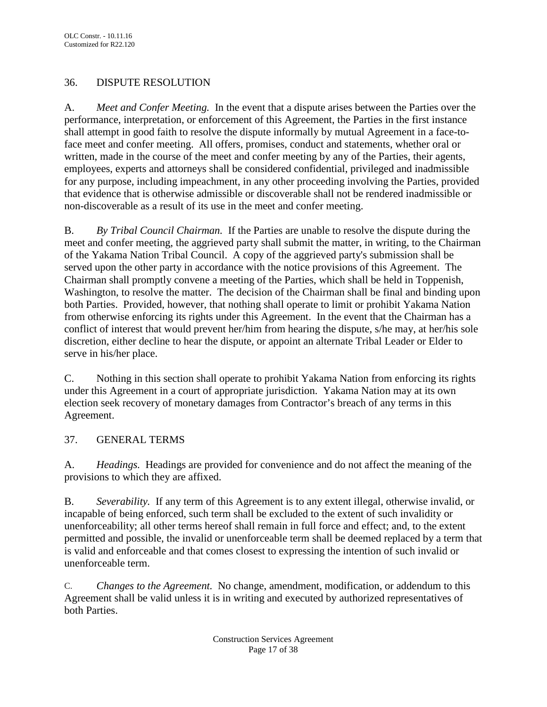# 36. DISPUTE RESOLUTION

A. *Meet and Confer Meeting.* In the event that a dispute arises between the Parties over the performance, interpretation, or enforcement of this Agreement, the Parties in the first instance shall attempt in good faith to resolve the dispute informally by mutual Agreement in a face-toface meet and confer meeting. All offers, promises, conduct and statements, whether oral or written, made in the course of the meet and confer meeting by any of the Parties, their agents, employees, experts and attorneys shall be considered confidential, privileged and inadmissible for any purpose, including impeachment, in any other proceeding involving the Parties, provided that evidence that is otherwise admissible or discoverable shall not be rendered inadmissible or non-discoverable as a result of its use in the meet and confer meeting.

B. *By Tribal Council Chairman.* If the Parties are unable to resolve the dispute during the meet and confer meeting, the aggrieved party shall submit the matter, in writing, to the Chairman of the Yakama Nation Tribal Council. A copy of the aggrieved party's submission shall be served upon the other party in accordance with the notice provisions of this Agreement. The Chairman shall promptly convene a meeting of the Parties, which shall be held in Toppenish, Washington, to resolve the matter. The decision of the Chairman shall be final and binding upon both Parties. Provided, however, that nothing shall operate to limit or prohibit Yakama Nation from otherwise enforcing its rights under this Agreement. In the event that the Chairman has a conflict of interest that would prevent her/him from hearing the dispute, s/he may, at her/his sole discretion, either decline to hear the dispute, or appoint an alternate Tribal Leader or Elder to serve in his/her place.

C. Nothing in this section shall operate to prohibit Yakama Nation from enforcing its rights under this Agreement in a court of appropriate jurisdiction. Yakama Nation may at its own election seek recovery of monetary damages from Contractor's breach of any terms in this Agreement.

# 37. GENERAL TERMS

A. *Headings.* Headings are provided for convenience and do not affect the meaning of the provisions to which they are affixed.

B. *Severability.* If any term of this Agreement is to any extent illegal, otherwise invalid, or incapable of being enforced, such term shall be excluded to the extent of such invalidity or unenforceability; all other terms hereof shall remain in full force and effect; and, to the extent permitted and possible, the invalid or unenforceable term shall be deemed replaced by a term that is valid and enforceable and that comes closest to expressing the intention of such invalid or unenforceable term.

C. *Changes to the Agreement.* No change, amendment, modification, or addendum to this Agreement shall be valid unless it is in writing and executed by authorized representatives of both Parties.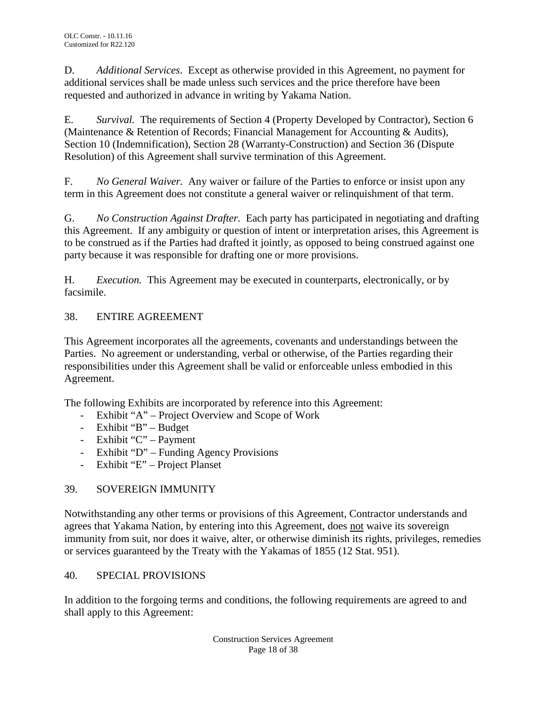D. *Additional Services*. Except as otherwise provided in this Agreement, no payment for additional services shall be made unless such services and the price therefore have been requested and authorized in advance in writing by Yakama Nation.

E. *Survival.* The requirements of Section 4 (Property Developed by Contractor), Section 6 (Maintenance & Retention of Records; Financial Management for Accounting & Audits), Section 10 (Indemnification), Section 28 (Warranty-Construction) and Section 36 (Dispute Resolution) of this Agreement shall survive termination of this Agreement.

F. *No General Waiver.* Any waiver or failure of the Parties to enforce or insist upon any term in this Agreement does not constitute a general waiver or relinquishment of that term.

G. *No Construction Against Drafter.* Each party has participated in negotiating and drafting this Agreement. If any ambiguity or question of intent or interpretation arises, this Agreement is to be construed as if the Parties had drafted it jointly, as opposed to being construed against one party because it was responsible for drafting one or more provisions.

H. *Execution.* This Agreement may be executed in counterparts, electronically, or by facsimile.

# 38. ENTIRE AGREEMENT

This Agreement incorporates all the agreements, covenants and understandings between the Parties. No agreement or understanding, verbal or otherwise, of the Parties regarding their responsibilities under this Agreement shall be valid or enforceable unless embodied in this Agreement.

The following Exhibits are incorporated by reference into this Agreement:

- Exhibit "A" Project Overview and Scope of Work
- Exhibit "B" Budget
- Exhibit "C" Payment
- Exhibit "D" Funding Agency Provisions
- Exhibit "E" Project Planset

### 39. SOVEREIGN IMMUNITY

Notwithstanding any other terms or provisions of this Agreement, Contractor understands and agrees that Yakama Nation, by entering into this Agreement, does not waive its sovereign immunity from suit, nor does it waive, alter, or otherwise diminish its rights, privileges, remedies or services guaranteed by the Treaty with the Yakamas of 1855 (12 Stat. 951).

### 40. SPECIAL PROVISIONS

In addition to the forgoing terms and conditions, the following requirements are agreed to and shall apply to this Agreement: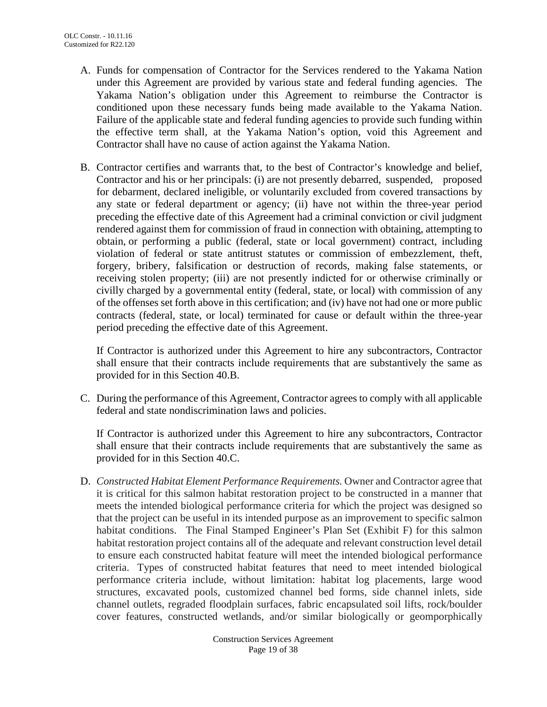- A. Funds for compensation of Contractor for the Services rendered to the Yakama Nation under this Agreement are provided by various state and federal funding agencies. The Yakama Nation's obligation under this Agreement to reimburse the Contractor is conditioned upon these necessary funds being made available to the Yakama Nation. Failure of the applicable state and federal funding agencies to provide such funding within the effective term shall, at the Yakama Nation's option, void this Agreement and Contractor shall have no cause of action against the Yakama Nation.
- B. Contractor certifies and warrants that, to the best of Contractor's knowledge and belief, Contractor and his or her principals: (i) are not presently debarred, suspended, proposed for debarment, declared ineligible, or voluntarily excluded from covered transactions by any state or federal department or agency; (ii) have not within the three-year period preceding the effective date of this Agreement had a criminal conviction or civil judgment rendered against them for commission of fraud in connection with obtaining, attempting to obtain, or performing a public (federal, state or local government) contract, including violation of federal or state antitrust statutes or commission of embezzlement, theft, forgery, bribery, falsification or destruction of records, making false statements, or receiving stolen property; (iii) are not presently indicted for or otherwise criminally or civilly charged by a governmental entity (federal, state, or local) with commission of any of the offenses set forth above in this certification; and (iv) have not had one or more public contracts (federal, state, or local) terminated for cause or default within the three-year period preceding the effective date of this Agreement.

If Contractor is authorized under this Agreement to hire any subcontractors, Contractor shall ensure that their contracts include requirements that are substantively the same as provided for in this Section 40.B.

C. During the performance of this Agreement, Contractor agrees to comply with all applicable federal and state nondiscrimination laws and policies.

If Contractor is authorized under this Agreement to hire any subcontractors, Contractor shall ensure that their contracts include requirements that are substantively the same as provided for in this Section 40.C.

D. *Constructed Habitat Element Performance Requirements.* Owner and Contractor agree that it is critical for this salmon habitat restoration project to be constructed in a manner that meets the intended biological performance criteria for which the project was designed so that the project can be useful in its intended purpose as an improvement to specific salmon habitat conditions. The Final Stamped Engineer's Plan Set (Exhibit F) for this salmon habitat restoration project contains all of the adequate and relevant construction level detail to ensure each constructed habitat feature will meet the intended biological performance criteria. Types of constructed habitat features that need to meet intended biological performance criteria include, without limitation: habitat log placements, large wood structures, excavated pools, customized channel bed forms, side channel inlets, side channel outlets, regraded floodplain surfaces, fabric encapsulated soil lifts, rock/boulder cover features, constructed wetlands, and/or similar biologically or geomporphically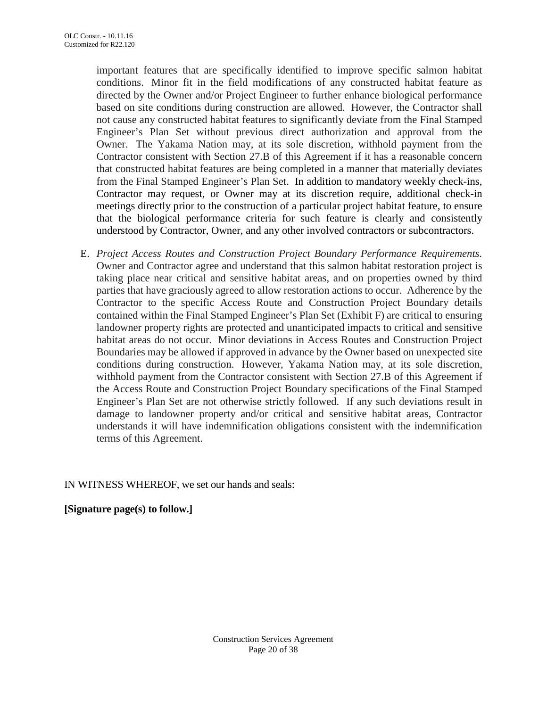important features that are specifically identified to improve specific salmon habitat conditions. Minor fit in the field modifications of any constructed habitat feature as directed by the Owner and/or Project Engineer to further enhance biological performance based on site conditions during construction are allowed. However, the Contractor shall not cause any constructed habitat features to significantly deviate from the Final Stamped Engineer's Plan Set without previous direct authorization and approval from the Owner. The Yakama Nation may, at its sole discretion, withhold payment from the Contractor consistent with Section 27.B of this Agreement if it has a reasonable concern that constructed habitat features are being completed in a manner that materially deviates from the Final Stamped Engineer's Plan Set. In addition to mandatory weekly check-ins, Contractor may request, or Owner may at its discretion require, additional check-in meetings directly prior to the construction of a particular project habitat feature, to ensure that the biological performance criteria for such feature is clearly and consistently understood by Contractor, Owner, and any other involved contractors or subcontractors.

E. *Project Access Routes and Construction Project Boundary Performance Requirements.*  Owner and Contractor agree and understand that this salmon habitat restoration project is taking place near critical and sensitive habitat areas, and on properties owned by third parties that have graciously agreed to allow restoration actions to occur. Adherence by the Contractor to the specific Access Route and Construction Project Boundary details contained within the Final Stamped Engineer's Plan Set (Exhibit F) are critical to ensuring landowner property rights are protected and unanticipated impacts to critical and sensitive habitat areas do not occur. Minor deviations in Access Routes and Construction Project Boundaries may be allowed if approved in advance by the Owner based on unexpected site conditions during construction. However, Yakama Nation may, at its sole discretion, withhold payment from the Contractor consistent with Section 27.B of this Agreement if the Access Route and Construction Project Boundary specifications of the Final Stamped Engineer's Plan Set are not otherwise strictly followed. If any such deviations result in damage to landowner property and/or critical and sensitive habitat areas, Contractor understands it will have indemnification obligations consistent with the indemnification terms of this Agreement.

IN WITNESS WHEREOF, we set our hands and seals:

**[Signature page(s) to follow.]**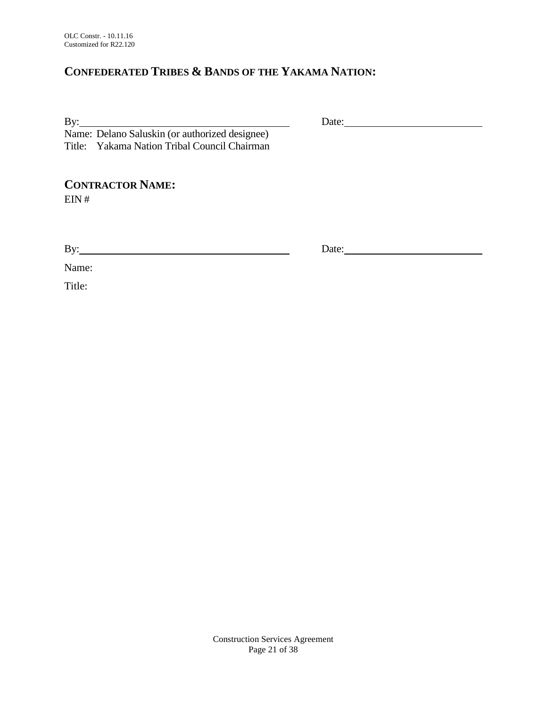# **CONFEDERATED TRIBES & BANDS OF THE YAKAMA NATION:**

By: Date: Name: Delano Saluskin (or authorized designee) Title: Yakama Nation Tribal Council Chairman

**CONTRACTOR NAME:**

EIN #

By: Date: Date:

Name:

Title:

Construction Services Agreement Page 21 of 38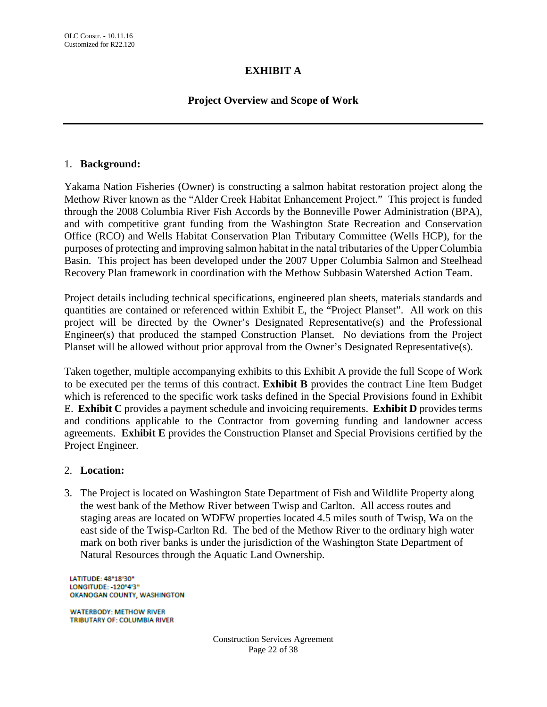## **EXHIBIT A**

## **Project Overview and Scope of Work**

#### 1. **Background:**

Yakama Nation Fisheries (Owner) is constructing a salmon habitat restoration project along the Methow River known as the "Alder Creek Habitat Enhancement Project." This project is funded through the 2008 Columbia River Fish Accords by the Bonneville Power Administration (BPA), and with competitive grant funding from the Washington State Recreation and Conservation Office (RCO) and Wells Habitat Conservation Plan Tributary Committee (Wells HCP), for the purposes of protecting and improving salmon habitat in the natal tributaries of the Upper Columbia Basin. This project has been developed under the 2007 Upper Columbia Salmon and Steelhead Recovery Plan framework in coordination with the Methow Subbasin Watershed Action Team.

Project details including technical specifications, engineered plan sheets, materials standards and quantities are contained or referenced within Exhibit E, the "Project Planset". All work on this project will be directed by the Owner's Designated Representative(s) and the Professional Engineer(s) that produced the stamped Construction Planset. No deviations from the Project Planset will be allowed without prior approval from the Owner's Designated Representative(s).

Taken together, multiple accompanying exhibits to this Exhibit A provide the full Scope of Work to be executed per the terms of this contract. **Exhibit B** provides the contract Line Item Budget which is referenced to the specific work tasks defined in the Special Provisions found in Exhibit E. **Exhibit C** provides a payment schedule and invoicing requirements. **Exhibit D** provides terms and conditions applicable to the Contractor from governing funding and landowner access agreements. **Exhibit E** provides the Construction Planset and Special Provisions certified by the Project Engineer.

#### 2. **Location:**

3. The Project is located on Washington State Department of Fish and Wildlife Property along the west bank of the Methow River between Twisp and Carlton. All access routes and staging areas are located on WDFW properties located 4.5 miles south of Twisp, Wa on the east side of the Twisp-Carlton Rd. The bed of the Methow River to the ordinary high water mark on both river banks is under the jurisdiction of the Washington State Department of Natural Resources through the Aquatic Land Ownership.

LATITUDE: 48°18'30" LONGITUDE: - 120°4'3" OKANOGAN COUNTY, WASHINGTON

**WATERBODY: METHOW RIVER** TRIBUTARY OF: COLUMBIA RIVER

> Construction Services Agreement Page 22 of 38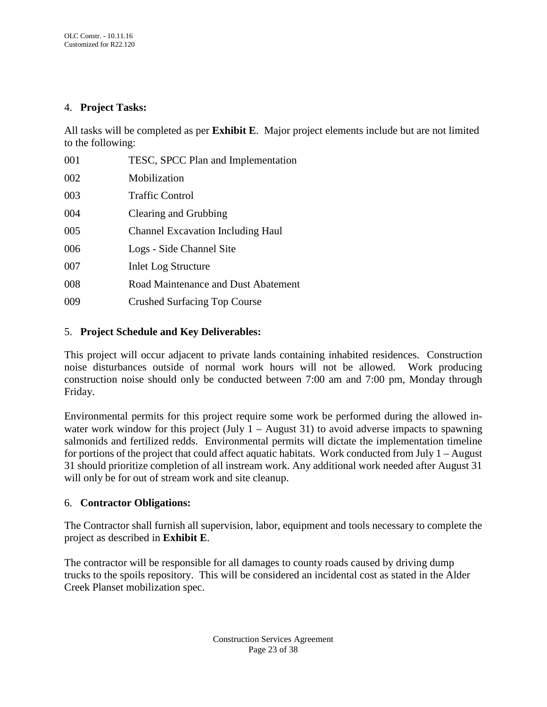#### 4. **Project Tasks:**

All tasks will be completed as per **Exhibit E**. Major project elements include but are not limited to the following:

| 001 | TESC, SPCC Plan and Implementation       |
|-----|------------------------------------------|
| 002 | Mobilization                             |
| 003 | <b>Traffic Control</b>                   |
| 004 | Clearing and Grubbing                    |
| 005 | <b>Channel Excavation Including Haul</b> |
| 006 | Logs - Side Channel Site                 |
| 007 | <b>Inlet Log Structure</b>               |
| 008 | Road Maintenance and Dust Abatement      |
| 009 | <b>Crushed Surfacing Top Course</b>      |

#### 5. **Project Schedule and Key Deliverables:**

This project will occur adjacent to private lands containing inhabited residences. Construction noise disturbances outside of normal work hours will not be allowed. Work producing construction noise should only be conducted between 7:00 am and 7:00 pm, Monday through Friday.

Environmental permits for this project require some work be performed during the allowed inwater work window for this project (July  $1 -$  August 31) to avoid adverse impacts to spawning salmonids and fertilized redds. Environmental permits will dictate the implementation timeline for portions of the project that could affect aquatic habitats. Work conducted from July 1 – August 31 should prioritize completion of all instream work. Any additional work needed after August 31 will only be for out of stream work and site cleanup.

### 6. **Contractor Obligations:**

The Contractor shall furnish all supervision, labor, equipment and tools necessary to complete the project as described in **Exhibit E**.

The contractor will be responsible for all damages to county roads caused by driving dump trucks to the spoils repository. This will be considered an incidental cost as stated in the Alder Creek Planset mobilization spec.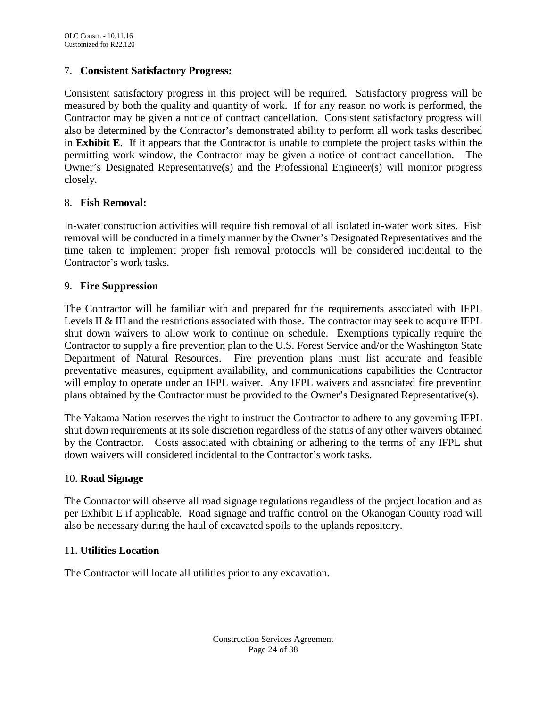#### 7. **Consistent Satisfactory Progress:**

Consistent satisfactory progress in this project will be required. Satisfactory progress will be measured by both the quality and quantity of work. If for any reason no work is performed, the Contractor may be given a notice of contract cancellation. Consistent satisfactory progress will also be determined by the Contractor's demonstrated ability to perform all work tasks described in **Exhibit E**. If it appears that the Contractor is unable to complete the project tasks within the permitting work window, the Contractor may be given a notice of contract cancellation. The Owner's Designated Representative(s) and the Professional Engineer(s) will monitor progress closely.

#### 8. **Fish Removal:**

In-water construction activities will require fish removal of all isolated in-water work sites. Fish removal will be conducted in a timely manner by the Owner's Designated Representatives and the time taken to implement proper fish removal protocols will be considered incidental to the Contractor's work tasks.

#### 9. **Fire Suppression**

The Contractor will be familiar with and prepared for the requirements associated with IFPL Levels II & III and the restrictions associated with those. The contractor may seek to acquire IFPL shut down waivers to allow work to continue on schedule. Exemptions typically require the Contractor to supply a fire prevention plan to the U.S. Forest Service and/or the Washington State Department of Natural Resources. Fire prevention plans must list accurate and feasible preventative measures, equipment availability, and communications capabilities the Contractor will employ to operate under an IFPL waiver. Any IFPL waivers and associated fire prevention plans obtained by the Contractor must be provided to the Owner's Designated Representative(s).

The Yakama Nation reserves the right to instruct the Contractor to adhere to any governing IFPL shut down requirements at its sole discretion regardless of the status of any other waivers obtained by the Contractor. Costs associated with obtaining or adhering to the terms of any IFPL shut down waivers will considered incidental to the Contractor's work tasks.

#### 10. **Road Signage**

The Contractor will observe all road signage regulations regardless of the project location and as per Exhibit E if applicable. Road signage and traffic control on the Okanogan County road will also be necessary during the haul of excavated spoils to the uplands repository.

#### 11. **Utilities Location**

The Contractor will locate all utilities prior to any excavation.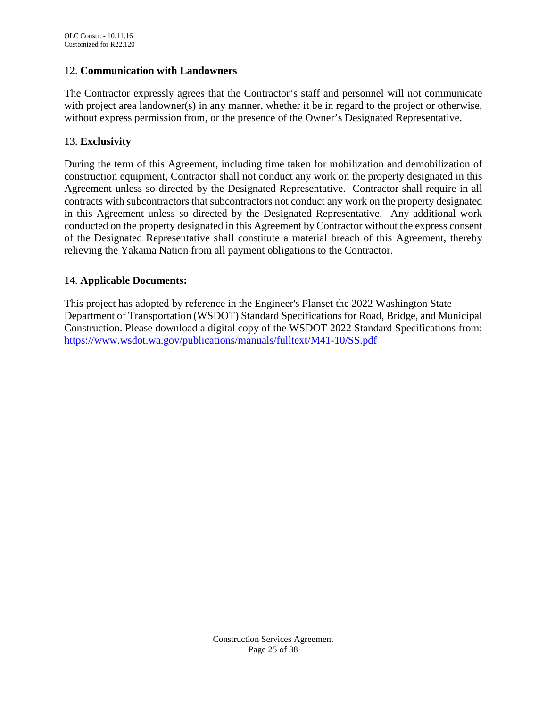#### 12. **Communication with Landowners**

The Contractor expressly agrees that the Contractor's staff and personnel will not communicate with project area landowner(s) in any manner, whether it be in regard to the project or otherwise, without express permission from, or the presence of the Owner's Designated Representative.

#### 13. **Exclusivity**

During the term of this Agreement, including time taken for mobilization and demobilization of construction equipment, Contractor shall not conduct any work on the property designated in this Agreement unless so directed by the Designated Representative. Contractor shall require in all contracts with subcontractors that subcontractors not conduct any work on the property designated in this Agreement unless so directed by the Designated Representative. Any additional work conducted on the property designated in this Agreement by Contractor without the express consent of the Designated Representative shall constitute a material breach of this Agreement, thereby relieving the Yakama Nation from all payment obligations to the Contractor.

#### 14. **Applicable Documents:**

This project has adopted by reference in the Engineer's Planset the 2022 Washington State Department of Transportation (WSDOT) Standard Specifications for Road, Bridge, and Municipal Construction. Please download a digital copy of the WSDOT 2022 Standard Specifications from: <https://www.wsdot.wa.gov/publications/manuals/fulltext/M41-10/SS.pdf>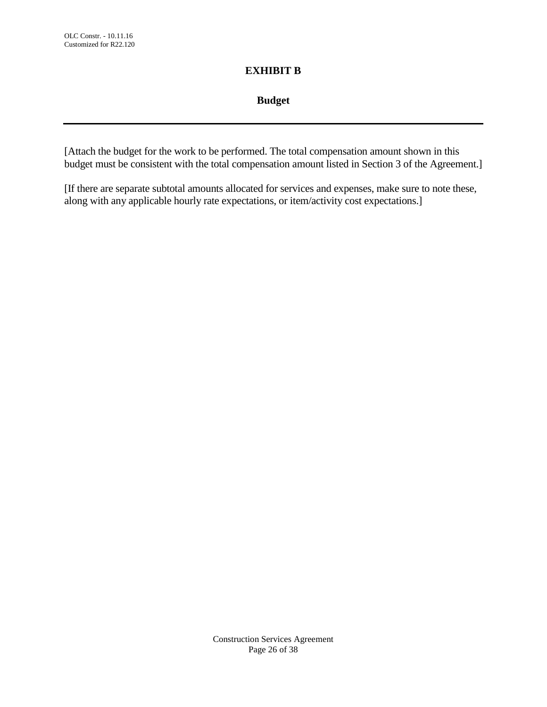# **EXHIBIT B**

## **Budget**

[Attach the budget for the work to be performed. The total compensation amount shown in this budget must be consistent with the total compensation amount listed in Section 3 of the Agreement.]

[If there are separate subtotal amounts allocated for services and expenses, make sure to note these, along with any applicable hourly rate expectations, or item/activity cost expectations.]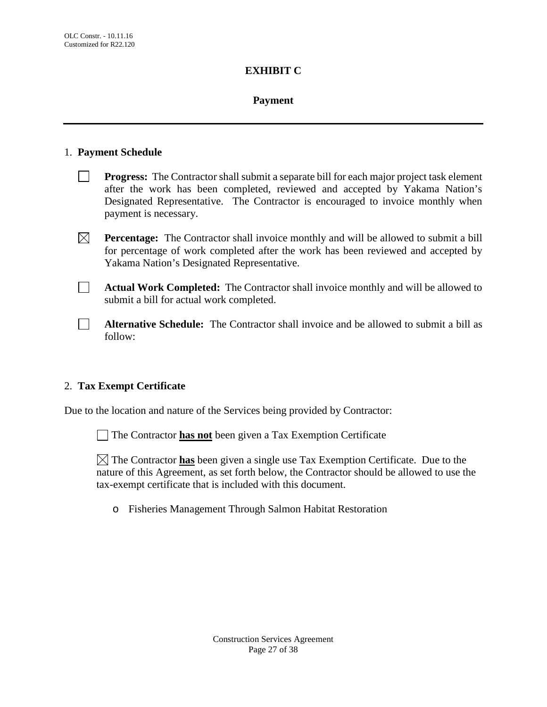### **EXHIBIT C**

### **Payment**

#### 1. **Payment Schedule**

- **Progress:** The Contractor shall submit a separate bill for each major project task element after the work has been completed, reviewed and accepted by Yakama Nation's Designated Representative. The Contractor is encouraged to invoice monthly when payment is necessary.
- **Percentage:** The Contractor shall invoice monthly and will be allowed to submit a bill for percentage of work completed after the work has been reviewed and accepted by Yakama Nation's Designated Representative.
- **Actual Work Completed:** The Contractor shall invoice monthly and will be allowed to submit a bill for actual work completed.
- **Alternative Schedule:** The Contractor shall invoice and be allowed to submit a bill as follow:

### 2. **Tax Exempt Certificate**

Due to the location and nature of the Services being provided by Contractor:

The Contractor **has not** been given a Tax Exemption Certificate

 $\boxtimes$  The Contractor **has** been given a single use Tax Exemption Certificate. Due to the nature of this Agreement, as set forth below, the Contractor should be allowed to use the tax-exempt certificate that is included with this document.

o Fisheries Management Through Salmon Habitat Restoration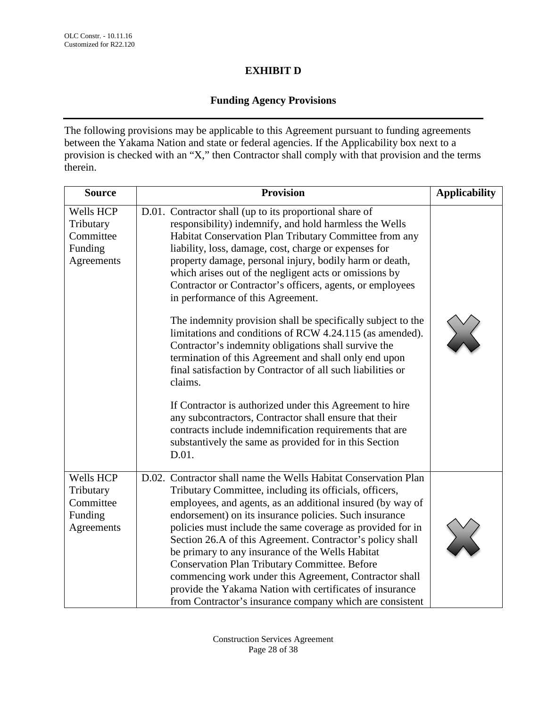# **EXHIBIT D**

# **Funding Agency Provisions**

The following provisions may be applicable to this Agreement pursuant to funding agreements between the Yakama Nation and state or federal agencies. If the Applicability box next to a provision is checked with an "X," then Contractor shall comply with that provision and the terms therein.

| <b>Source</b>                                                | <b>Provision</b>                                                                                                                                                                                                                                                                                                                                                                                                                                                                                                                                                                                                                                                                                                                                                                   | <b>Applicability</b> |
|--------------------------------------------------------------|------------------------------------------------------------------------------------------------------------------------------------------------------------------------------------------------------------------------------------------------------------------------------------------------------------------------------------------------------------------------------------------------------------------------------------------------------------------------------------------------------------------------------------------------------------------------------------------------------------------------------------------------------------------------------------------------------------------------------------------------------------------------------------|----------------------|
| Wells HCP<br>Tributary<br>Committee<br>Funding<br>Agreements | D.01. Contractor shall (up to its proportional share of<br>responsibility) indemnify, and hold harmless the Wells<br>Habitat Conservation Plan Tributary Committee from any<br>liability, loss, damage, cost, charge or expenses for<br>property damage, personal injury, bodily harm or death,<br>which arises out of the negligent acts or omissions by<br>Contractor or Contractor's officers, agents, or employees<br>in performance of this Agreement.<br>The indemnity provision shall be specifically subject to the<br>limitations and conditions of RCW 4.24.115 (as amended).<br>Contractor's indemnity obligations shall survive the<br>termination of this Agreement and shall only end upon<br>final satisfaction by Contractor of all such liabilities or<br>claims. |                      |
|                                                              | If Contractor is authorized under this Agreement to hire<br>any subcontractors, Contractor shall ensure that their<br>contracts include indemnification requirements that are<br>substantively the same as provided for in this Section<br>D.01.                                                                                                                                                                                                                                                                                                                                                                                                                                                                                                                                   |                      |
| Wells HCP<br>Tributary<br>Committee<br>Funding<br>Agreements | D.02. Contractor shall name the Wells Habitat Conservation Plan<br>Tributary Committee, including its officials, officers,<br>employees, and agents, as an additional insured (by way of<br>endorsement) on its insurance policies. Such insurance<br>policies must include the same coverage as provided for in<br>Section 26.A of this Agreement. Contractor's policy shall<br>be primary to any insurance of the Wells Habitat<br><b>Conservation Plan Tributary Committee. Before</b><br>commencing work under this Agreement, Contractor shall<br>provide the Yakama Nation with certificates of insurance<br>from Contractor's insurance company which are consistent                                                                                                        |                      |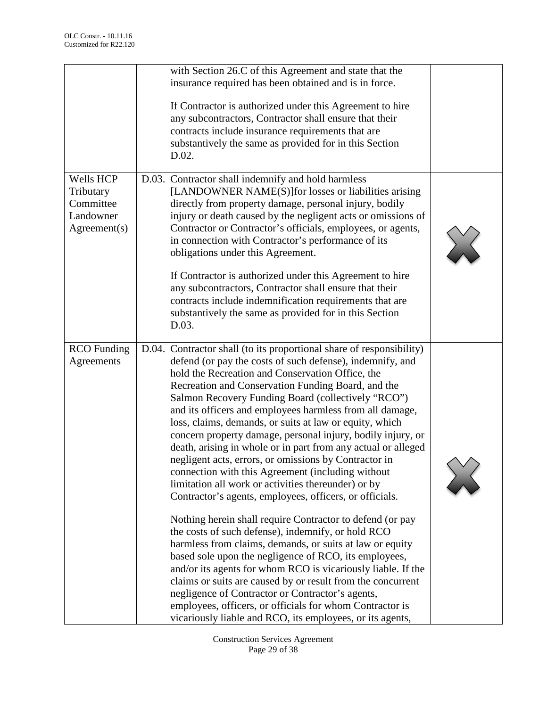|                                                                  | with Section 26.C of this Agreement and state that the<br>insurance required has been obtained and is in force.<br>If Contractor is authorized under this Agreement to hire<br>any subcontractors, Contractor shall ensure that their<br>contracts include insurance requirements that are<br>substantively the same as provided for in this Section<br>D.02.                                                                                                                                                                                                                                                                                                                                                                                                                                                                                                                                                                                                                                                                                                                                                                                                                                                                                                                                                                                |  |
|------------------------------------------------------------------|----------------------------------------------------------------------------------------------------------------------------------------------------------------------------------------------------------------------------------------------------------------------------------------------------------------------------------------------------------------------------------------------------------------------------------------------------------------------------------------------------------------------------------------------------------------------------------------------------------------------------------------------------------------------------------------------------------------------------------------------------------------------------------------------------------------------------------------------------------------------------------------------------------------------------------------------------------------------------------------------------------------------------------------------------------------------------------------------------------------------------------------------------------------------------------------------------------------------------------------------------------------------------------------------------------------------------------------------|--|
| Wells HCP<br>Tributary<br>Committee<br>Landowner<br>Agreement(s) | D.03. Contractor shall indemnify and hold harmless<br>[LANDOWNER NAME(S)] for losses or liabilities arising<br>directly from property damage, personal injury, bodily<br>injury or death caused by the negligent acts or omissions of<br>Contractor or Contractor's officials, employees, or agents,<br>in connection with Contractor's performance of its<br>obligations under this Agreement.<br>If Contractor is authorized under this Agreement to hire<br>any subcontractors, Contractor shall ensure that their<br>contracts include indemnification requirements that are<br>substantively the same as provided for in this Section<br>D.03.                                                                                                                                                                                                                                                                                                                                                                                                                                                                                                                                                                                                                                                                                          |  |
| <b>RCO</b> Funding<br>Agreements                                 | D.04. Contractor shall (to its proportional share of responsibility)<br>defend (or pay the costs of such defense), indemnify, and<br>hold the Recreation and Conservation Office, the<br>Recreation and Conservation Funding Board, and the<br>Salmon Recovery Funding Board (collectively "RCO")<br>and its officers and employees harmless from all damage,<br>loss, claims, demands, or suits at law or equity, which<br>concern property damage, personal injury, bodily injury, or<br>death, arising in whole or in part from any actual or alleged<br>negligent acts, errors, or omissions by Contractor in<br>connection with this Agreement (including without<br>limitation all work or activities thereunder) or by<br>Contractor's agents, employees, officers, or officials.<br>Nothing herein shall require Contractor to defend (or pay<br>the costs of such defense), indemnify, or hold RCO<br>harmless from claims, demands, or suits at law or equity<br>based sole upon the negligence of RCO, its employees,<br>and/or its agents for whom RCO is vicariously liable. If the<br>claims or suits are caused by or result from the concurrent<br>negligence of Contractor or Contractor's agents,<br>employees, officers, or officials for whom Contractor is<br>vicariously liable and RCO, its employees, or its agents, |  |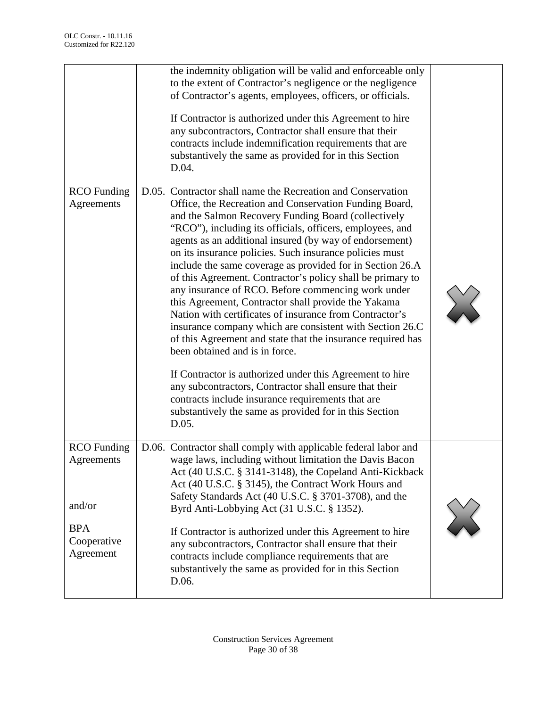|                                                                                      | the indemnity obligation will be valid and enforceable only<br>to the extent of Contractor's negligence or the negligence<br>of Contractor's agents, employees, officers, or officials.<br>If Contractor is authorized under this Agreement to hire<br>any subcontractors, Contractor shall ensure that their<br>contracts include indemnification requirements that are<br>substantively the same as provided for in this Section<br>D.04.                                                                                                                                                                                                                                                                                                                                                                                                                                                                                                                                                                                                                                   |        |
|--------------------------------------------------------------------------------------|-------------------------------------------------------------------------------------------------------------------------------------------------------------------------------------------------------------------------------------------------------------------------------------------------------------------------------------------------------------------------------------------------------------------------------------------------------------------------------------------------------------------------------------------------------------------------------------------------------------------------------------------------------------------------------------------------------------------------------------------------------------------------------------------------------------------------------------------------------------------------------------------------------------------------------------------------------------------------------------------------------------------------------------------------------------------------------|--------|
| <b>RCO</b> Funding<br>Agreements                                                     | D.05. Contractor shall name the Recreation and Conservation<br>Office, the Recreation and Conservation Funding Board,<br>and the Salmon Recovery Funding Board (collectively<br>"RCO"), including its officials, officers, employees, and<br>agents as an additional insured (by way of endorsement)<br>on its insurance policies. Such insurance policies must<br>include the same coverage as provided for in Section 26.A<br>of this Agreement. Contractor's policy shall be primary to<br>any insurance of RCO. Before commencing work under<br>this Agreement, Contractor shall provide the Yakama<br>Nation with certificates of insurance from Contractor's<br>insurance company which are consistent with Section 26.C<br>of this Agreement and state that the insurance required has<br>been obtained and is in force.<br>If Contractor is authorized under this Agreement to hire<br>any subcontractors, Contractor shall ensure that their<br>contracts include insurance requirements that are<br>substantively the same as provided for in this Section<br>D.05. | $\sum$ |
| <b>RCO</b> Funding<br>Agreements<br>and/or<br><b>BPA</b><br>Cooperative<br>Agreement | D.06. Contractor shall comply with applicable federal labor and<br>wage laws, including without limitation the Davis Bacon<br>Act (40 U.S.C. § 3141-3148), the Copeland Anti-Kickback<br>Act (40 U.S.C. § 3145), the Contract Work Hours and<br>Safety Standards Act (40 U.S.C. § 3701-3708), and the<br>Byrd Anti-Lobbying Act (31 U.S.C. § 1352).<br>If Contractor is authorized under this Agreement to hire<br>any subcontractors, Contractor shall ensure that their<br>contracts include compliance requirements that are<br>substantively the same as provided for in this Section<br>D.06.                                                                                                                                                                                                                                                                                                                                                                                                                                                                            |        |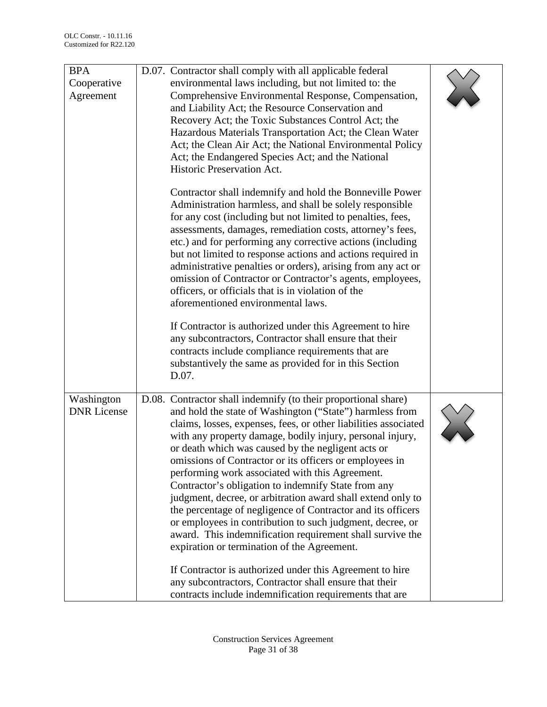| <b>BPA</b><br>Cooperative<br>Agreement | D.07. Contractor shall comply with all applicable federal<br>environmental laws including, but not limited to: the<br>Comprehensive Environmental Response, Compensation,<br>and Liability Act; the Resource Conservation and<br>Recovery Act; the Toxic Substances Control Act; the<br>Hazardous Materials Transportation Act; the Clean Water<br>Act; the Clean Air Act; the National Environmental Policy<br>Act; the Endangered Species Act; and the National<br>Historic Preservation Act.<br>Contractor shall indemnify and hold the Bonneville Power<br>Administration harmless, and shall be solely responsible<br>for any cost (including but not limited to penalties, fees,<br>assessments, damages, remediation costs, attorney's fees,<br>etc.) and for performing any corrective actions (including<br>but not limited to response actions and actions required in<br>administrative penalties or orders), arising from any act or<br>omission of Contractor or Contractor's agents, employees,<br>officers, or officials that is in violation of the<br>aforementioned environmental laws.<br>If Contractor is authorized under this Agreement to hire<br>any subcontractors, Contractor shall ensure that their<br>contracts include compliance requirements that are<br>substantively the same as provided for in this Section<br>D.07. |  |
|----------------------------------------|----------------------------------------------------------------------------------------------------------------------------------------------------------------------------------------------------------------------------------------------------------------------------------------------------------------------------------------------------------------------------------------------------------------------------------------------------------------------------------------------------------------------------------------------------------------------------------------------------------------------------------------------------------------------------------------------------------------------------------------------------------------------------------------------------------------------------------------------------------------------------------------------------------------------------------------------------------------------------------------------------------------------------------------------------------------------------------------------------------------------------------------------------------------------------------------------------------------------------------------------------------------------------------------------------------------------------------------------------------|--|
| Washington<br><b>DNR</b> License       | D.08. Contractor shall indemnify (to their proportional share)<br>and hold the state of Washington ("State") harmless from<br>claims, losses, expenses, fees, or other liabilities associated<br>with any property damage, bodily injury, personal injury,<br>or death which was caused by the negligent acts or<br>omissions of Contractor or its officers or employees in<br>performing work associated with this Agreement.<br>Contractor's obligation to indemnify State from any<br>judgment, decree, or arbitration award shall extend only to<br>the percentage of negligence of Contractor and its officers<br>or employees in contribution to such judgment, decree, or<br>award. This indemnification requirement shall survive the<br>expiration or termination of the Agreement.<br>If Contractor is authorized under this Agreement to hire<br>any subcontractors, Contractor shall ensure that their<br>contracts include indemnification requirements that are                                                                                                                                                                                                                                                                                                                                                                            |  |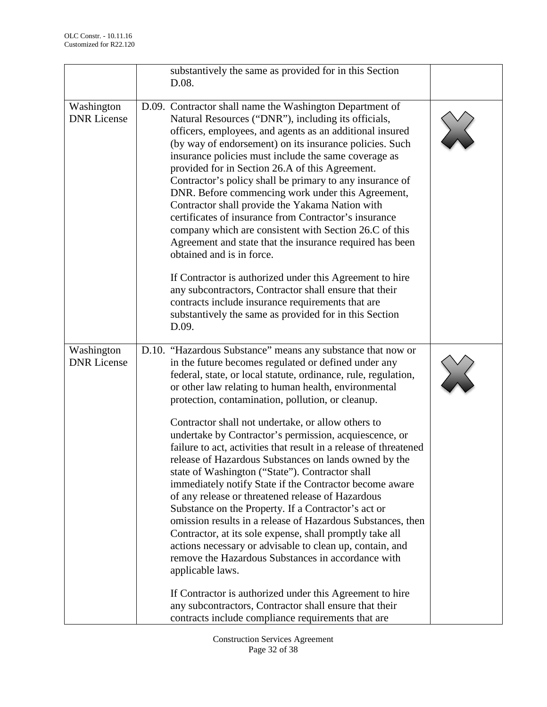|                                  | substantively the same as provided for in this Section<br>D.08.                                                                                                                                                                                                                                                                                                                                                                                                                                                                                                                                                                                                                                                                                                                                                                                                                                                                                                                                                                                                                                         |  |
|----------------------------------|---------------------------------------------------------------------------------------------------------------------------------------------------------------------------------------------------------------------------------------------------------------------------------------------------------------------------------------------------------------------------------------------------------------------------------------------------------------------------------------------------------------------------------------------------------------------------------------------------------------------------------------------------------------------------------------------------------------------------------------------------------------------------------------------------------------------------------------------------------------------------------------------------------------------------------------------------------------------------------------------------------------------------------------------------------------------------------------------------------|--|
| Washington<br><b>DNR</b> License | D.09. Contractor shall name the Washington Department of<br>Natural Resources ("DNR"), including its officials,<br>officers, employees, and agents as an additional insured<br>(by way of endorsement) on its insurance policies. Such<br>insurance policies must include the same coverage as<br>provided for in Section 26.A of this Agreement.<br>Contractor's policy shall be primary to any insurance of<br>DNR. Before commencing work under this Agreement,<br>Contractor shall provide the Yakama Nation with<br>certificates of insurance from Contractor's insurance<br>company which are consistent with Section 26.C of this<br>Agreement and state that the insurance required has been<br>obtained and is in force.<br>If Contractor is authorized under this Agreement to hire<br>any subcontractors, Contractor shall ensure that their<br>contracts include insurance requirements that are<br>substantively the same as provided for in this Section<br>D.09.                                                                                                                         |  |
| Washington<br><b>DNR</b> License | D.10. "Hazardous Substance" means any substance that now or<br>in the future becomes regulated or defined under any<br>federal, state, or local statute, ordinance, rule, regulation,<br>or other law relating to human health, environmental<br>protection, contamination, pollution, or cleanup.<br>Contractor shall not undertake, or allow others to<br>undertake by Contractor's permission, acquiescence, or<br>failure to act, activities that result in a release of threatened<br>release of Hazardous Substances on lands owned by the<br>state of Washington ("State"). Contractor shall<br>immediately notify State if the Contractor become aware<br>of any release or threatened release of Hazardous<br>Substance on the Property. If a Contractor's act or<br>omission results in a release of Hazardous Substances, then<br>Contractor, at its sole expense, shall promptly take all<br>actions necessary or advisable to clean up, contain, and<br>remove the Hazardous Substances in accordance with<br>applicable laws.<br>If Contractor is authorized under this Agreement to hire |  |
|                                  | any subcontractors, Contractor shall ensure that their<br>contracts include compliance requirements that are                                                                                                                                                                                                                                                                                                                                                                                                                                                                                                                                                                                                                                                                                                                                                                                                                                                                                                                                                                                            |  |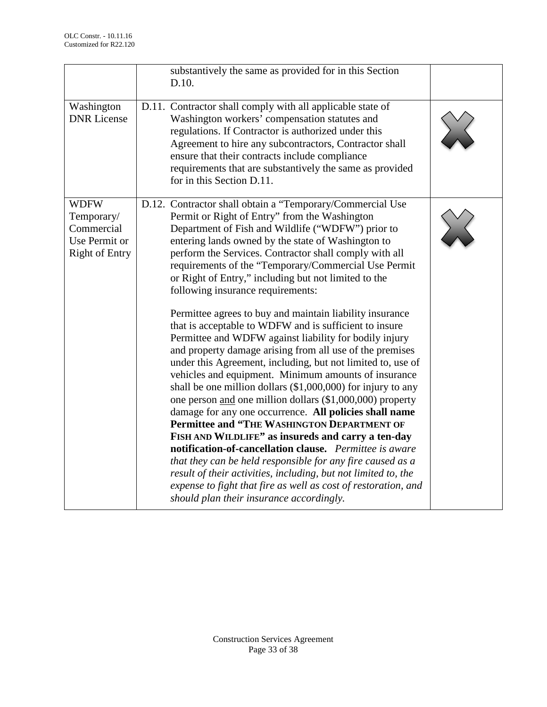|                                                                                   | substantively the same as provided for in this Section<br>D.10.                                                                                                                                                                                                                                                                                                                                                                                                                                                                                                                                                                                                                                                                                                                                                                                                                                                                                                                                                                                                                                                                                                                                                                                                                                                                                                                                                |  |
|-----------------------------------------------------------------------------------|----------------------------------------------------------------------------------------------------------------------------------------------------------------------------------------------------------------------------------------------------------------------------------------------------------------------------------------------------------------------------------------------------------------------------------------------------------------------------------------------------------------------------------------------------------------------------------------------------------------------------------------------------------------------------------------------------------------------------------------------------------------------------------------------------------------------------------------------------------------------------------------------------------------------------------------------------------------------------------------------------------------------------------------------------------------------------------------------------------------------------------------------------------------------------------------------------------------------------------------------------------------------------------------------------------------------------------------------------------------------------------------------------------------|--|
| Washington<br><b>DNR</b> License                                                  | D.11. Contractor shall comply with all applicable state of<br>Washington workers' compensation statutes and<br>regulations. If Contractor is authorized under this<br>Agreement to hire any subcontractors, Contractor shall<br>ensure that their contracts include compliance<br>requirements that are substantively the same as provided<br>for in this Section D.11.                                                                                                                                                                                                                                                                                                                                                                                                                                                                                                                                                                                                                                                                                                                                                                                                                                                                                                                                                                                                                                        |  |
| <b>WDFW</b><br>Temporary/<br>Commercial<br>Use Permit or<br><b>Right of Entry</b> | D.12. Contractor shall obtain a "Temporary/Commercial Use<br>Permit or Right of Entry" from the Washington<br>Department of Fish and Wildlife ("WDFW") prior to<br>entering lands owned by the state of Washington to<br>perform the Services. Contractor shall comply with all<br>requirements of the "Temporary/Commercial Use Permit<br>or Right of Entry," including but not limited to the<br>following insurance requirements:<br>Permittee agrees to buy and maintain liability insurance<br>that is acceptable to WDFW and is sufficient to insure<br>Permittee and WDFW against liability for bodily injury<br>and property damage arising from all use of the premises<br>under this Agreement, including, but not limited to, use of<br>vehicles and equipment. Minimum amounts of insurance<br>shall be one million dollars $(\$1,000,000)$ for injury to any<br>one person and one million dollars (\$1,000,000) property<br>damage for any one occurrence. All policies shall name<br>Permittee and "THE WASHINGTON DEPARTMENT OF<br>FISH AND WILDLIFE" as insureds and carry a ten-day<br>notification-of-cancellation clause. Permittee is aware<br>that they can be held responsible for any fire caused as a<br>result of their activities, including, but not limited to, the<br>expense to fight that fire as well as cost of restoration, and<br>should plan their insurance accordingly. |  |